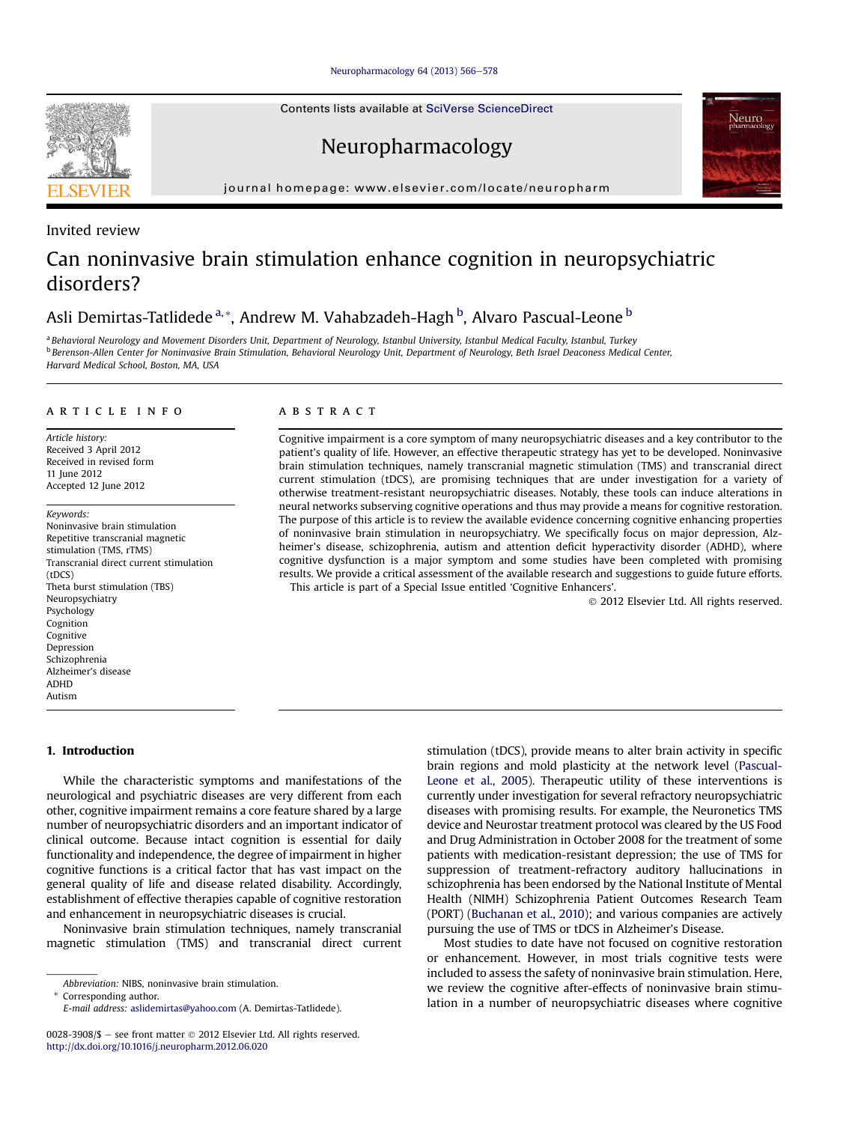[Neuropharmacology 64 \(2013\) 566](http://dx.doi.org/10.1016/j.neuropharm.2012.06.020)-[578](http://dx.doi.org/10.1016/j.neuropharm.2012.06.020)

Contents lists available at SciVerse ScienceDirect

Neuropharmacology

journal homepage: [www.elsevier.com/locate/neuropharm](http://www.elsevier.com/locate/neuropharm)

# Invited review

# Can noninvasive brain stimulation enhance cognition in neuropsychiatric disorders?

# Asli Demirtas-Tatlidede <sup>a,</sup>\*, Andrew M. Vahabzadeh-Hagh <sup>b</sup>, Alvaro Pascual-Leone <sup>b</sup>

a Behavioral Neurology and Movement Disorders Unit, Department of Neurology, Istanbul University, Istanbul Medical Faculty, Istanbul, Turkey **b Berenson-Allen Center for Noninvasive Brain Stimulation, Behavioral Neurology Unit, Department of Neurology, Beth Israel Deaconess Medical Center,** Harvard Medical School, Boston, MA, USA

## article info

Article history: Received 3 April 2012 Received in revised form 11 June 2012 Accepted 12 June 2012

Keywords: Noninvasive brain stimulation Repetitive transcranial magnetic stimulation (TMS, rTMS) Transcranial direct current stimulation  $(fDCS)$ Theta burst stimulation (TBS) Neuropsychiatry Psychology Cognition Cognitive Depression **Schizophrenia** Alzheimer's disease ADHD Autism

## **ABSTRACT**

Cognitive impairment is a core symptom of many neuropsychiatric diseases and a key contributor to the patient's quality of life. However, an effective therapeutic strategy has yet to be developed. Noninvasive brain stimulation techniques, namely transcranial magnetic stimulation (TMS) and transcranial direct current stimulation (tDCS), are promising techniques that are under investigation for a variety of otherwise treatment-resistant neuropsychiatric diseases. Notably, these tools can induce alterations in neural networks subserving cognitive operations and thus may provide a means for cognitive restoration. The purpose of this article is to review the available evidence concerning cognitive enhancing properties of noninvasive brain stimulation in neuropsychiatry. We specifically focus on major depression, Alzheimer's disease, schizophrenia, autism and attention deficit hyperactivity disorder (ADHD), where cognitive dysfunction is a major symptom and some studies have been completed with promising results. We provide a critical assessment of the available research and suggestions to guide future efforts. This article is part of a Special Issue entitled 'Cognitive Enhancers'.

2012 Elsevier Ltd. All rights reserved.

## 1. Introduction

While the characteristic symptoms and manifestations of the neurological and psychiatric diseases are very different from each other, cognitive impairment remains a core feature shared by a large number of neuropsychiatric disorders and an important indicator of clinical outcome. Because intact cognition is essential for daily functionality and independence, the degree of impairment in higher cognitive functions is a critical factor that has vast impact on the general quality of life and disease related disability. Accordingly, establishment of effective therapies capable of cognitive restoration and enhancement in neuropsychiatric diseases is crucial.

Noninvasive brain stimulation techniques, namely transcranial magnetic stimulation (TMS) and transcranial direct current stimulation (tDCS), provide means to alter brain activity in specific brain regions and mold plasticity at the network level [\(Pascual-](#page-12-0)[Leone et al., 2005](#page-12-0)). Therapeutic utility of these interventions is currently under investigation for several refractory neuropsychiatric diseases with promising results. For example, the Neuronetics TMS device and Neurostar treatment protocol was cleared by the US Food and Drug Administration in October 2008 for the treatment of some patients with medication-resistant depression; the use of TMS for suppression of treatment-refractory auditory hallucinations in schizophrenia has been endorsed by the National Institute of Mental Health (NIMH) Schizophrenia Patient Outcomes Research Team (PORT) [\(Buchanan et al., 2010\)](#page-10-0); and various companies are actively pursuing the use of TMS or tDCS in Alzheimer's Disease.

Most studies to date have not focused on cognitive restoration or enhancement. However, in most trials cognitive tests were included to assess the safety of noninvasive brain stimulation. Here, we review the cognitive after-effects of noninvasive brain stimulation in a number of neuropsychiatric diseases where cognitive





Abbreviation: NIBS, noninvasive brain stimulation.

Corresponding author.

E-mail address: [aslidemirtas@yahoo.com](mailto:aslidemirtas@yahoo.com) (A. Demirtas-Tatlidede).

<sup>0028-3908/\$ -</sup> see front matter  $\odot$  2012 Elsevier Ltd. All rights reserved. <http://dx.doi.org/10.1016/j.neuropharm.2012.06.020>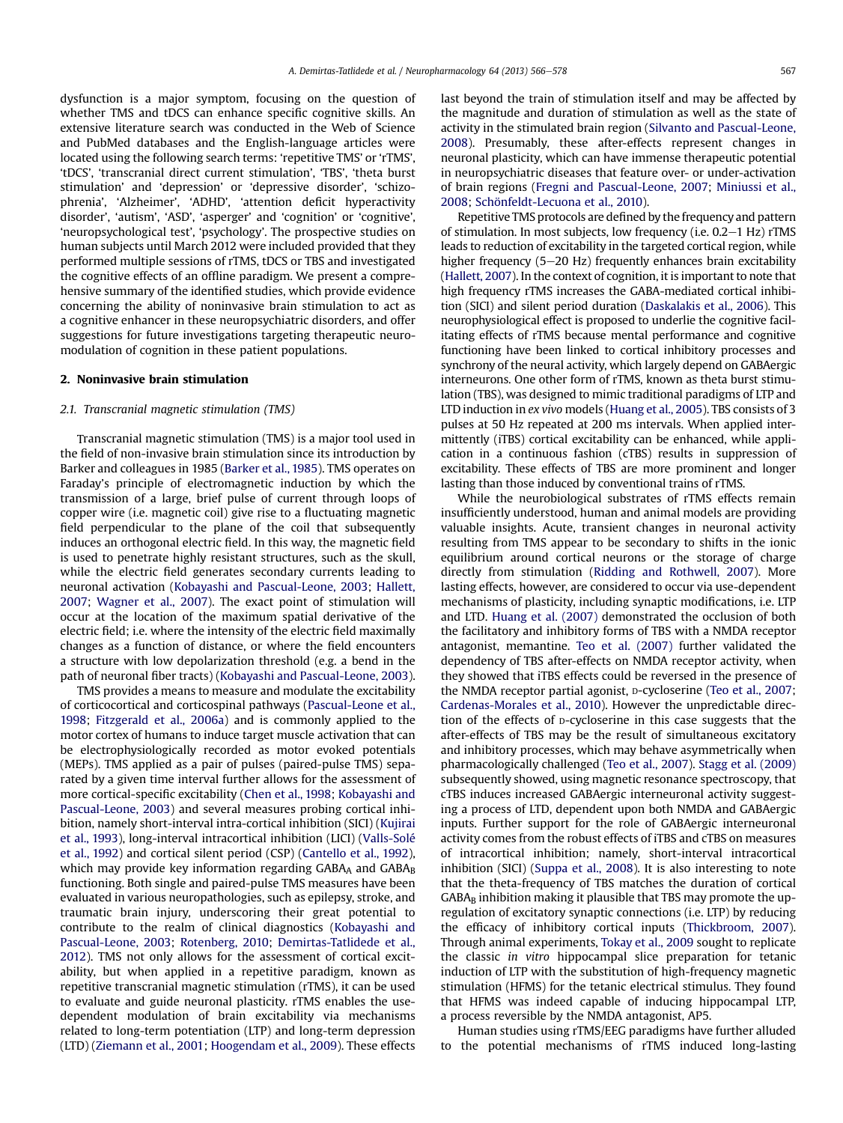dysfunction is a major symptom, focusing on the question of whether TMS and tDCS can enhance specific cognitive skills. An extensive literature search was conducted in the Web of Science and PubMed databases and the English-language articles were located using the following search terms: 'repetitive TMS' or 'rTMS', 'tDCS', 'transcranial direct current stimulation', 'TBS', 'theta burst stimulation' and 'depression' or 'depressive disorder', 'schizophrenia', 'Alzheimer', 'ADHD', 'attention deficit hyperactivity disorder', 'autism', 'ASD', 'asperger' and 'cognition' or 'cognitive', 'neuropsychological test', 'psychology'. The prospective studies on human subjects until March 2012 were included provided that they performed multiple sessions of rTMS, tDCS or TBS and investigated the cognitive effects of an offline paradigm. We present a comprehensive summary of the identified studies, which provide evidence concerning the ability of noninvasive brain stimulation to act as a cognitive enhancer in these neuropsychiatric disorders, and offer suggestions for future investigations targeting therapeutic neuromodulation of cognition in these patient populations.

#### 2. Noninvasive brain stimulation

#### 2.1. Transcranial magnetic stimulation (TMS)

Transcranial magnetic stimulation (TMS) is a major tool used in the field of non-invasive brain stimulation since its introduction by Barker and colleagues in 1985 ([Barker et al., 1985\)](#page-10-0). TMS operates on Faraday's principle of electromagnetic induction by which the transmission of a large, brief pulse of current through loops of copper wire (i.e. magnetic coil) give rise to a fluctuating magnetic field perpendicular to the plane of the coil that subsequently induces an orthogonal electric field. In this way, the magnetic field is used to penetrate highly resistant structures, such as the skull, while the electric field generates secondary currents leading to neuronal activation [\(Kobayashi and Pascual-Leone, 2003](#page-11-0); [Hallett,](#page-11-0) [2007;](#page-11-0) [Wagner et al., 2007\)](#page-12-0). The exact point of stimulation will occur at the location of the maximum spatial derivative of the electric field; i.e. where the intensity of the electric field maximally changes as a function of distance, or where the field encounters a structure with low depolarization threshold (e.g. a bend in the path of neuronal fiber tracts) ([Kobayashi and Pascual-Leone, 2003\)](#page-11-0).

TMS provides a means to measure and modulate the excitability of corticocortical and corticospinal pathways [\(Pascual-Leone et al.,](#page-12-0) [1998;](#page-12-0) [Fitzgerald et al., 2006a](#page-10-0)) and is commonly applied to the motor cortex of humans to induce target muscle activation that can be electrophysiologically recorded as motor evoked potentials (MEPs). TMS applied as a pair of pulses (paired-pulse TMS) separated by a given time interval further allows for the assessment of more cortical-specific excitability ([Chen et al., 1998](#page-10-0); [Kobayashi and](#page-11-0) [Pascual-Leone, 2003](#page-11-0)) and several measures probing cortical inhibition, namely short-interval intra-cortical inhibition (SICI) ([Kujirai](#page-11-0) [et al., 1993](#page-11-0)), long-interval intracortical inhibition (LICI) [\(Valls-Solé](#page-12-0) [et al., 1992\)](#page-12-0) and cortical silent period (CSP) ([Cantello et al., 1992\)](#page-10-0), which may provide key information regarding  $GABA_A$  and  $GABA_B$ functioning. Both single and paired-pulse TMS measures have been evaluated in various neuropathologies, such as epilepsy, stroke, and traumatic brain injury, underscoring their great potential to contribute to the realm of clinical diagnostics [\(Kobayashi and](#page-11-0) [Pascual-Leone, 2003;](#page-11-0) [Rotenberg, 2010;](#page-12-0) [Demirtas-Tatlidede et al.,](#page-10-0) [2012\)](#page-10-0). TMS not only allows for the assessment of cortical excitability, but when applied in a repetitive paradigm, known as repetitive transcranial magnetic stimulation (rTMS), it can be used to evaluate and guide neuronal plasticity. rTMS enables the usedependent modulation of brain excitability via mechanisms related to long-term potentiation (LTP) and long-term depression (LTD) ([Ziemann et al., 2001](#page-12-0); [Hoogendam et al., 2009](#page-11-0)). These effects last beyond the train of stimulation itself and may be affected by the magnitude and duration of stimulation as well as the state of activity in the stimulated brain region ([Silvanto and Pascual-Leone,](#page-12-0) [2008\)](#page-12-0). Presumably, these after-effects represent changes in neuronal plasticity, which can have immense therapeutic potential in neuropsychiatric diseases that feature over- or under-activation of brain regions ([Fregni and Pascual-Leone, 2007](#page-11-0); [Miniussi et al.,](#page-11-0) [2008;](#page-11-0) [Schönfeldt-Lecuona et al., 2010](#page-12-0)).

Repetitive TMS protocols are defined by the frequency and pattern of stimulation. In most subjects, low frequency (i.e.  $0.2-1$  Hz) rTMS leads to reduction of excitability in the targeted cortical region, while higher frequency  $(5-20$  Hz) frequently enhances brain excitability [\(Hallett, 2007\)](#page-11-0). In the context of cognition, it is important to note that high frequency rTMS increases the GABA-mediated cortical inhibition (SICI) and silent period duration [\(Daskalakis et al., 2006\)](#page-10-0). This neurophysiological effect is proposed to underlie the cognitive facilitating effects of rTMS because mental performance and cognitive functioning have been linked to cortical inhibitory processes and synchrony of the neural activity, which largely depend on GABAergic interneurons. One other form of rTMS, known as theta burst stimulation (TBS), was designed to mimic traditional paradigms of LTP and LTD induction in ex vivo models ([Huang et al., 2005](#page-11-0)). TBS consists of 3 pulses at 50 Hz repeated at 200 ms intervals. When applied intermittently (iTBS) cortical excitability can be enhanced, while application in a continuous fashion (cTBS) results in suppression of excitability. These effects of TBS are more prominent and longer lasting than those induced by conventional trains of rTMS.

While the neurobiological substrates of rTMS effects remain insufficiently understood, human and animal models are providing valuable insights. Acute, transient changes in neuronal activity resulting from TMS appear to be secondary to shifts in the ionic equilibrium around cortical neurons or the storage of charge directly from stimulation ([Ridding and Rothwell, 2007\)](#page-12-0). More lasting effects, however, are considered to occur via use-dependent mechanisms of plasticity, including synaptic modifications, i.e. LTP and LTD. [Huang et al. \(2007\)](#page-11-0) demonstrated the occlusion of both the facilitatory and inhibitory forms of TBS with a NMDA receptor antagonist, memantine. [Teo et al. \(2007\)](#page-12-0) further validated the dependency of TBS after-effects on NMDA receptor activity, when they showed that iTBS effects could be reversed in the presence of the NMDA receptor partial agonist, p-cycloserine [\(Teo et al., 2007;](#page-12-0) [Cardenas-Morales et al., 2010\)](#page-10-0). However the unpredictable direction of the effects of D-cycloserine in this case suggests that the after-effects of TBS may be the result of simultaneous excitatory and inhibitory processes, which may behave asymmetrically when pharmacologically challenged [\(Teo et al., 2007\)](#page-12-0). [Stagg et al. \(2009\)](#page-12-0) subsequently showed, using magnetic resonance spectroscopy, that cTBS induces increased GABAergic interneuronal activity suggesting a process of LTD, dependent upon both NMDA and GABAergic inputs. Further support for the role of GABAergic interneuronal activity comes from the robust effects of iTBS and cTBS on measures of intracortical inhibition; namely, short-interval intracortical inhibition (SICI) [\(Suppa et al., 2008\)](#page-12-0). It is also interesting to note that the theta-frequency of TBS matches the duration of cortical  $GABA_B$  inhibition making it plausible that TBS may promote the upregulation of excitatory synaptic connections (i.e. LTP) by reducing the efficacy of inhibitory cortical inputs ([Thickbroom, 2007\)](#page-12-0). Through animal experiments, [Tokay et al., 2009](#page-12-0) sought to replicate the classic in vitro hippocampal slice preparation for tetanic induction of LTP with the substitution of high-frequency magnetic stimulation (HFMS) for the tetanic electrical stimulus. They found that HFMS was indeed capable of inducing hippocampal LTP, a process reversible by the NMDA antagonist, AP5.

Human studies using rTMS/EEG paradigms have further alluded to the potential mechanisms of rTMS induced long-lasting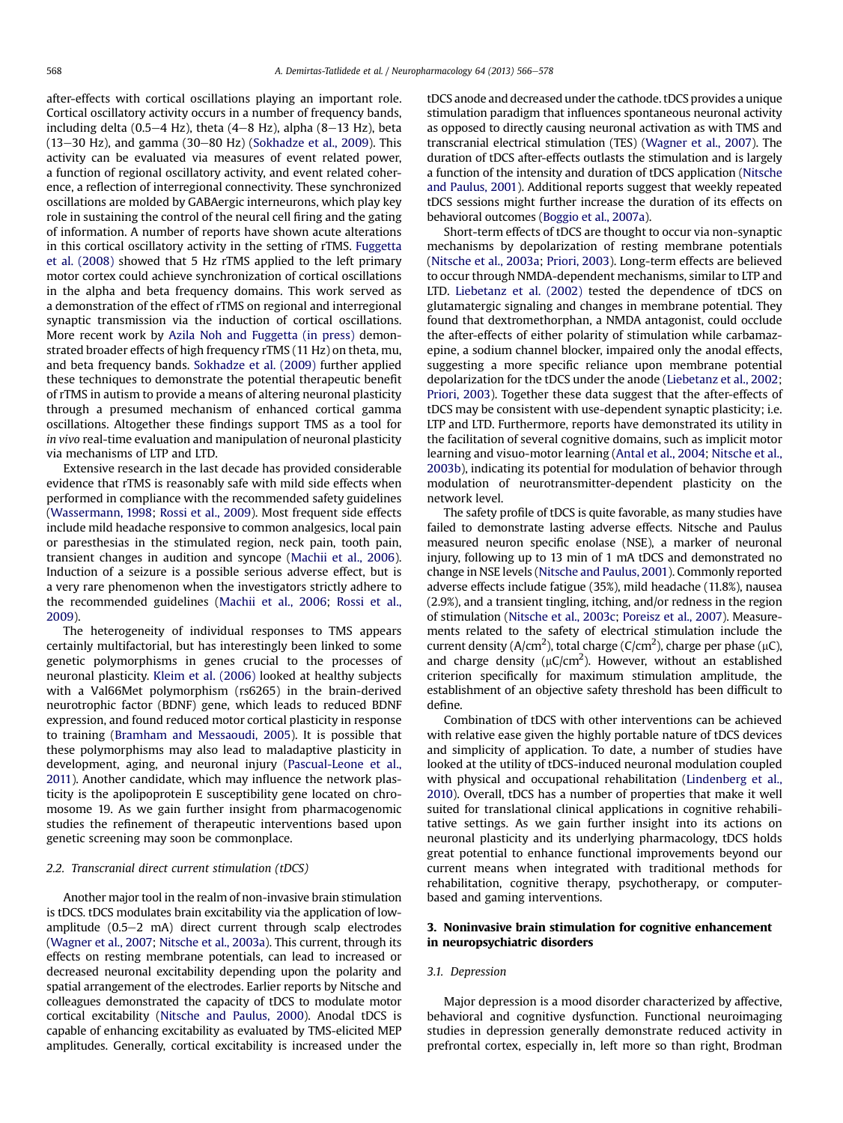after-effects with cortical oscillations playing an important role. Cortical oscillatory activity occurs in a number of frequency bands, including delta (0.5-4 Hz), theta (4-8 Hz), alpha (8-13 Hz), beta  $(13-30$  Hz), and gamma  $(30-80$  Hz) [\(Sokhadze et al., 2009\)](#page-12-0). This activity can be evaluated via measures of event related power, a function of regional oscillatory activity, and event related coherence, a reflection of interregional connectivity. These synchronized oscillations are molded by GABAergic interneurons, which play key role in sustaining the control of the neural cell firing and the gating of information. A number of reports have shown acute alterations in this cortical oscillatory activity in the setting of rTMS. [Fuggetta](#page-11-0) [et al. \(2008\)](#page-11-0) showed that 5 Hz rTMS applied to the left primary motor cortex could achieve synchronization of cortical oscillations in the alpha and beta frequency domains. This work served as a demonstration of the effect of rTMS on regional and interregional synaptic transmission via the induction of cortical oscillations. More recent work by [Azila Noh and Fuggetta \(in press\)](#page-10-0) demonstrated broader effects of high frequency rTMS (11 Hz) on theta, mu, and beta frequency bands. [Sokhadze et al. \(2009\)](#page-12-0) further applied these techniques to demonstrate the potential therapeutic benefit of rTMS in autism to provide a means of altering neuronal plasticity through a presumed mechanism of enhanced cortical gamma oscillations. Altogether these findings support TMS as a tool for in vivo real-time evaluation and manipulation of neuronal plasticity via mechanisms of LTP and LTD.

Extensive research in the last decade has provided considerable evidence that rTMS is reasonably safe with mild side effects when performed in compliance with the recommended safety guidelines ([Wassermann, 1998](#page-12-0); [Rossi et al., 2009](#page-12-0)). Most frequent side effects include mild headache responsive to common analgesics, local pain or paresthesias in the stimulated region, neck pain, tooth pain, transient changes in audition and syncope ([Machii et al., 2006\)](#page-11-0). Induction of a seizure is a possible serious adverse effect, but is a very rare phenomenon when the investigators strictly adhere to the recommended guidelines ([Machii et al., 2006;](#page-11-0) [Rossi et al.,](#page-12-0) [2009](#page-12-0)).

The heterogeneity of individual responses to TMS appears certainly multifactorial, but has interestingly been linked to some genetic polymorphisms in genes crucial to the processes of neuronal plasticity. [Kleim et al. \(2006\)](#page-11-0) looked at healthy subjects with a Val66Met polymorphism (rs6265) in the brain-derived neurotrophic factor (BDNF) gene, which leads to reduced BDNF expression, and found reduced motor cortical plasticity in response to training [\(Bramham and Messaoudi, 2005\)](#page-10-0). It is possible that these polymorphisms may also lead to maladaptive plasticity in development, aging, and neuronal injury [\(Pascual-Leone et al.,](#page-12-0) [2011\)](#page-12-0). Another candidate, which may influence the network plasticity is the apolipoprotein E susceptibility gene located on chromosome 19. As we gain further insight from pharmacogenomic studies the refinement of therapeutic interventions based upon genetic screening may soon be commonplace.

#### 2.2. Transcranial direct current stimulation (tDCS)

Another major tool in the realm of non-invasive brain stimulation is tDCS. tDCS modulates brain excitability via the application of lowamplitude  $(0.5-2 \text{ mA})$  direct current through scalp electrodes ([Wagner et al., 2007;](#page-12-0) [Nitsche et al., 2003a](#page-12-0)). This current, through its effects on resting membrane potentials, can lead to increased or decreased neuronal excitability depending upon the polarity and spatial arrangement of the electrodes. Earlier reports by Nitsche and colleagues demonstrated the capacity of tDCS to modulate motor cortical excitability [\(Nitsche and Paulus, 2000\)](#page-12-0). Anodal tDCS is capable of enhancing excitability as evaluated by TMS-elicited MEP amplitudes. Generally, cortical excitability is increased under the tDCS anode and decreased under the cathode. tDCS provides a unique stimulation paradigm that influences spontaneous neuronal activity as opposed to directly causing neuronal activation as with TMS and transcranial electrical stimulation (TES) [\(Wagner et al., 2007](#page-12-0)). The duration of tDCS after-effects outlasts the stimulation and is largely a function of the intensity and duration of tDCS application [\(Nitsche](#page-12-0) [and Paulus, 2001\)](#page-12-0). Additional reports suggest that weekly repeated tDCS sessions might further increase the duration of its effects on behavioral outcomes ([Boggio et al., 2007a\)](#page-10-0).

Short-term effects of tDCS are thought to occur via non-synaptic mechanisms by depolarization of resting membrane potentials ([Nitsche et al., 2003a](#page-12-0); [Priori, 2003\)](#page-12-0). Long-term effects are believed to occur through NMDA-dependent mechanisms, similar to LTP and LTD. [Liebetanz et al. \(2002\)](#page-11-0) tested the dependence of tDCS on glutamatergic signaling and changes in membrane potential. They found that dextromethorphan, a NMDA antagonist, could occlude the after-effects of either polarity of stimulation while carbamazepine, a sodium channel blocker, impaired only the anodal effects, suggesting a more specific reliance upon membrane potential depolarization for the tDCS under the anode [\(Liebetanz et al., 2002](#page-11-0); [Priori, 2003\)](#page-12-0). Together these data suggest that the after-effects of tDCS may be consistent with use-dependent synaptic plasticity; i.e. LTP and LTD. Furthermore, reports have demonstrated its utility in the facilitation of several cognitive domains, such as implicit motor learning and visuo-motor learning [\(Antal et al., 2004](#page-10-0); [Nitsche et al.,](#page-12-0) [2003b\)](#page-12-0), indicating its potential for modulation of behavior through modulation of neurotransmitter-dependent plasticity on the network level.

The safety profile of tDCS is quite favorable, as many studies have failed to demonstrate lasting adverse effects. Nitsche and Paulus measured neuron specific enolase (NSE), a marker of neuronal injury, following up to 13 min of 1 mA tDCS and demonstrated no change in NSE levels ([Nitsche and Paulus, 2001](#page-12-0)). Commonly reported adverse effects include fatigue (35%), mild headache (11.8%), nausea (2.9%), and a transient tingling, itching, and/or redness in the region of stimulation [\(Nitsche et al., 2003c;](#page-12-0) [Poreisz et al., 2007](#page-12-0)). Measurements related to the safety of electrical stimulation include the current density (A/cm<sup>2</sup>), total charge (C/cm<sup>2</sup>), charge per phase ( $\mu$ C), and charge density ( $\mu$ C/cm<sup>2</sup>). However, without an established criterion specifically for maximum stimulation amplitude, the establishment of an objective safety threshold has been difficult to define.

Combination of tDCS with other interventions can be achieved with relative ease given the highly portable nature of tDCS devices and simplicity of application. To date, a number of studies have looked at the utility of tDCS-induced neuronal modulation coupled with physical and occupational rehabilitation [\(Lindenberg et al.,](#page-11-0) [2010\)](#page-11-0). Overall, tDCS has a number of properties that make it well suited for translational clinical applications in cognitive rehabilitative settings. As we gain further insight into its actions on neuronal plasticity and its underlying pharmacology, tDCS holds great potential to enhance functional improvements beyond our current means when integrated with traditional methods for rehabilitation, cognitive therapy, psychotherapy, or computerbased and gaming interventions.

#### 3. Noninvasive brain stimulation for cognitive enhancement in neuropsychiatric disorders

#### 3.1. Depression

Major depression is a mood disorder characterized by affective, behavioral and cognitive dysfunction. Functional neuroimaging studies in depression generally demonstrate reduced activity in prefrontal cortex, especially in, left more so than right, Brodman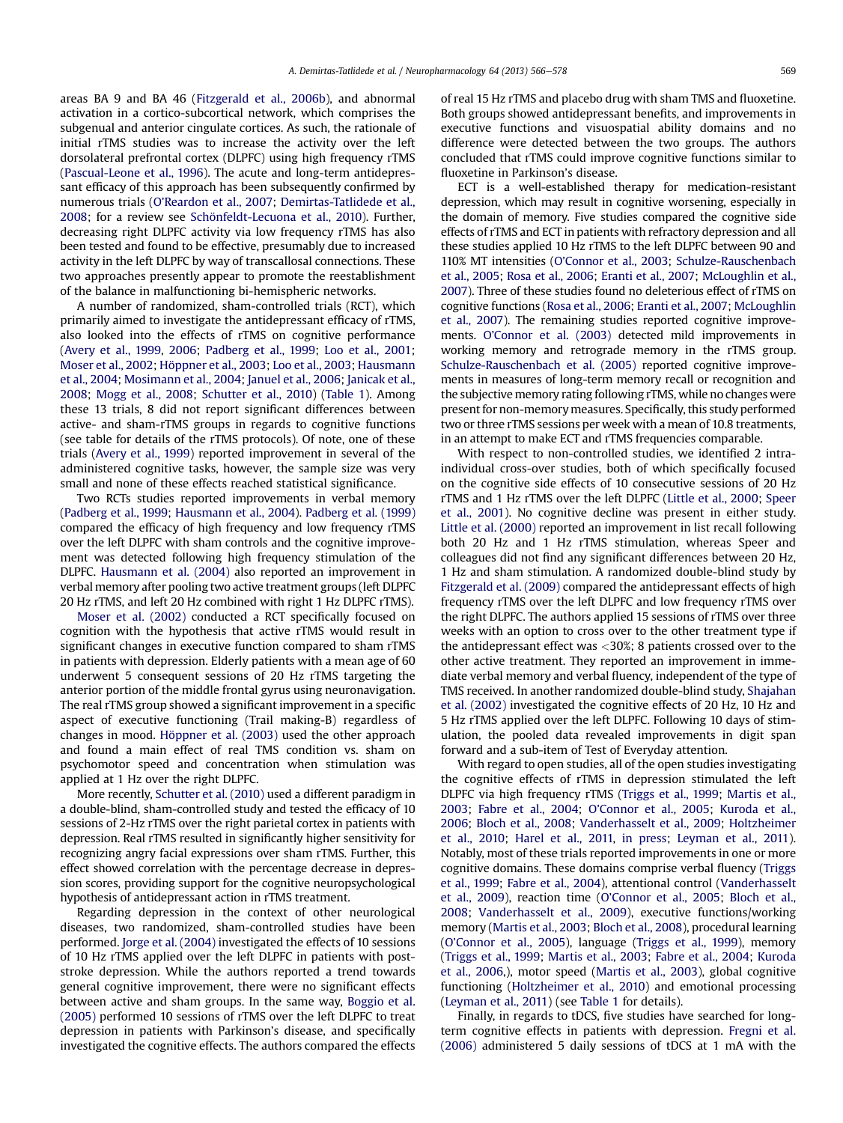areas BA 9 and BA 46 ([Fitzgerald et al., 2006b](#page-10-0)), and abnormal activation in a cortico-subcortical network, which comprises the subgenual and anterior cingulate cortices. As such, the rationale of initial rTMS studies was to increase the activity over the left dorsolateral prefrontal cortex (DLPFC) using high frequency rTMS ([Pascual-Leone et al., 1996\)](#page-12-0). The acute and long-term antidepressant efficacy of this approach has been subsequently confirmed by numerous trials (O'[Reardon et al., 2007;](#page-12-0) [Demirtas-Tatlidede et al.,](#page-10-0) [2008;](#page-10-0) for a review see [Schönfeldt-Lecuona et al., 2010\)](#page-12-0). Further, decreasing right DLPFC activity via low frequency rTMS has also been tested and found to be effective, presumably due to increased activity in the left DLPFC by way of transcallosal connections. These two approaches presently appear to promote the reestablishment of the balance in malfunctioning bi-hemispheric networks.

A number of randomized, sham-controlled trials (RCT), which primarily aimed to investigate the antidepressant efficacy of rTMS, also looked into the effects of rTMS on cognitive performance ([Avery et al., 1999,](#page-10-0) [2006;](#page-10-0) [Padberg et al., 1999;](#page-12-0) [Loo et al., 2001;](#page-11-0) [Moser et al., 2002](#page-11-0); [Höppner et al., 2003](#page-11-0); [Loo et al., 2003](#page-11-0); [Hausmann](#page-11-0) [et al., 2004](#page-11-0); [Mosimann et al., 2004](#page-11-0); [Januel et al., 2006;](#page-11-0) [Janicak et al.,](#page-11-0) [2008;](#page-11-0) [Mogg et al., 2008](#page-11-0); [Schutter et al., 2010\)](#page-12-0) [\(Table 1](#page-4-0)). Among these 13 trials, 8 did not report significant differences between active- and sham-rTMS groups in regards to cognitive functions (see table for details of the rTMS protocols). Of note, one of these trials ([Avery et al., 1999](#page-10-0)) reported improvement in several of the administered cognitive tasks, however, the sample size was very small and none of these effects reached statistical significance.

Two RCTs studies reported improvements in verbal memory [\(Padberg et al., 1999](#page-12-0); [Hausmann et al., 2004](#page-11-0)). [Padberg et al. \(1999\)](#page-12-0) compared the efficacy of high frequency and low frequency rTMS over the left DLPFC with sham controls and the cognitive improvement was detected following high frequency stimulation of the DLPFC. [Hausmann et al. \(2004\)](#page-11-0) also reported an improvement in verbal memory after pooling two active treatment groups (left DLPFC 20 Hz rTMS, and left 20 Hz combined with right 1 Hz DLPFC rTMS).

[Moser et al. \(2002\)](#page-11-0) conducted a RCT specifically focused on cognition with the hypothesis that active rTMS would result in significant changes in executive function compared to sham rTMS in patients with depression. Elderly patients with a mean age of 60 underwent 5 consequent sessions of 20 Hz rTMS targeting the anterior portion of the middle frontal gyrus using neuronavigation. The real rTMS group showed a significant improvement in a specific aspect of executive functioning (Trail making-B) regardless of changes in mood. [Höppner et al. \(2003\)](#page-11-0) used the other approach and found a main effect of real TMS condition vs. sham on psychomotor speed and concentration when stimulation was applied at 1 Hz over the right DLPFC.

More recently, [Schutter et al. \(2010\)](#page-12-0) used a different paradigm in a double-blind, sham-controlled study and tested the efficacy of 10 sessions of 2-Hz rTMS over the right parietal cortex in patients with depression. Real rTMS resulted in significantly higher sensitivity for recognizing angry facial expressions over sham rTMS. Further, this effect showed correlation with the percentage decrease in depression scores, providing support for the cognitive neuropsychological hypothesis of antidepressant action in rTMS treatment.

Regarding depression in the context of other neurological diseases, two randomized, sham-controlled studies have been performed. [Jorge et al. \(2004\)](#page-11-0) investigated the effects of 10 sessions of 10 Hz rTMS applied over the left DLPFC in patients with poststroke depression. While the authors reported a trend towards general cognitive improvement, there were no significant effects between active and sham groups. In the same way, [Boggio et al.](#page-10-0) [\(2005\)](#page-10-0) performed 10 sessions of rTMS over the left DLPFC to treat depression in patients with Parkinson's disease, and specifically investigated the cognitive effects. The authors compared the effects of real 15 Hz rTMS and placebo drug with sham TMS and fluoxetine. Both groups showed antidepressant benefits, and improvements in executive functions and visuospatial ability domains and no difference were detected between the two groups. The authors concluded that rTMS could improve cognitive functions similar to fluoxetine in Parkinson's disease.

ECT is a well-established therapy for medication-resistant depression, which may result in cognitive worsening, especially in the domain of memory. Five studies compared the cognitive side effects of rTMS and ECT in patients with refractory depression and all these studies applied 10 Hz rTMS to the left DLPFC between 90 and 110% MT intensities (O'[Connor et al., 2003](#page-12-0); [Schulze-Rauschenbach](#page-12-0) [et al., 2005;](#page-12-0) [Rosa et al., 2006](#page-12-0); [Eranti et al., 2007;](#page-10-0) [McLoughlin et al.,](#page-11-0) [2007](#page-11-0)). Three of these studies found no deleterious effect of rTMS on cognitive functions [\(Rosa et al., 2006;](#page-12-0) [Eranti et al., 2007](#page-10-0); [McLoughlin](#page-11-0) [et al., 2007\)](#page-11-0). The remaining studies reported cognitive improvements. O'[Connor et al. \(2003\)](#page-12-0) detected mild improvements in working memory and retrograde memory in the rTMS group. [Schulze-Rauschenbach et al. \(2005\)](#page-12-0) reported cognitive improvements in measures of long-term memory recall or recognition and the subjective memory rating following rTMS, while no changes were present for non-memory measures. Specifically, this study performed two or three rTMS sessions per week with a mean of 10.8 treatments, in an attempt to make ECT and rTMS frequencies comparable.

With respect to non-controlled studies, we identified 2 intraindividual cross-over studies, both of which specifically focused on the cognitive side effects of 10 consecutive sessions of 20 Hz rTMS and 1 Hz rTMS over the left DLPFC ([Little et al., 2000;](#page-11-0) [Speer](#page-12-0) [et al., 2001\)](#page-12-0). No cognitive decline was present in either study. [Little et al. \(2000\)](#page-11-0) reported an improvement in list recall following both 20 Hz and 1 Hz rTMS stimulation, whereas Speer and colleagues did not find any significant differences between 20 Hz, 1 Hz and sham stimulation. A randomized double-blind study by [Fitzgerald et al. \(2009\)](#page-11-0) compared the antidepressant effects of high frequency rTMS over the left DLPFC and low frequency rTMS over the right DLPFC. The authors applied 15 sessions of rTMS over three weeks with an option to cross over to the other treatment type if the antidepressant effect was  $<$ 30%; 8 patients crossed over to the other active treatment. They reported an improvement in immediate verbal memory and verbal fluency, independent of the type of TMS received. In another randomized double-blind study, [Shajahan](#page-12-0) [et al. \(2002\)](#page-12-0) investigated the cognitive effects of 20 Hz, 10 Hz and 5 Hz rTMS applied over the left DLPFC. Following 10 days of stimulation, the pooled data revealed improvements in digit span forward and a sub-item of Test of Everyday attention.

With regard to open studies, all of the open studies investigating the cognitive effects of rTMS in depression stimulated the left DLPFC via high frequency rTMS ([Triggs et al., 1999;](#page-12-0) [Martis et al.,](#page-11-0) [2003;](#page-11-0) [Fabre et al., 2004;](#page-10-0) O'[Connor et al., 2005;](#page-12-0) [Kuroda et al.,](#page-11-0) [2006;](#page-11-0) [Bloch et al., 2008;](#page-10-0) [Vanderhasselt et al., 2009](#page-12-0); [Holtzheimer](#page-11-0) [et al., 2010;](#page-11-0) [Harel et al., 2011,](#page-11-0) [in press](#page-11-0); [Leyman et al., 2011\)](#page-11-0). Notably, most of these trials reported improvements in one or more cognitive domains. These domains comprise verbal fluency ([Triggs](#page-12-0) [et al., 1999;](#page-12-0) [Fabre et al., 2004\)](#page-10-0), attentional control [\(Vanderhasselt](#page-12-0) [et al., 2009\)](#page-12-0), reaction time (O'[Connor et al., 2005;](#page-12-0) [Bloch et al.,](#page-10-0) [2008;](#page-10-0) [Vanderhasselt et al., 2009](#page-12-0)), executive functions/working memory [\(Martis et al., 2003;](#page-11-0) [Bloch et al., 2008](#page-10-0)), procedural learning (O'[Connor et al., 2005\)](#page-12-0), language [\(Triggs et al., 1999](#page-12-0)), memory ([Triggs et al., 1999;](#page-12-0) [Martis et al., 2003;](#page-11-0) [Fabre et al., 2004;](#page-10-0) [Kuroda](#page-11-0) [et al., 2006,](#page-11-0)), motor speed [\(Martis et al., 2003](#page-11-0)), global cognitive functioning ([Holtzheimer et al., 2010\)](#page-11-0) and emotional processing ([Leyman et al., 2011](#page-11-0)) (see [Table 1](#page-4-0) for details).

Finally, in regards to tDCS, five studies have searched for longterm cognitive effects in patients with depression. [Fregni et al.](#page-11-0) [\(2006\)](#page-11-0) administered 5 daily sessions of tDCS at 1 mA with the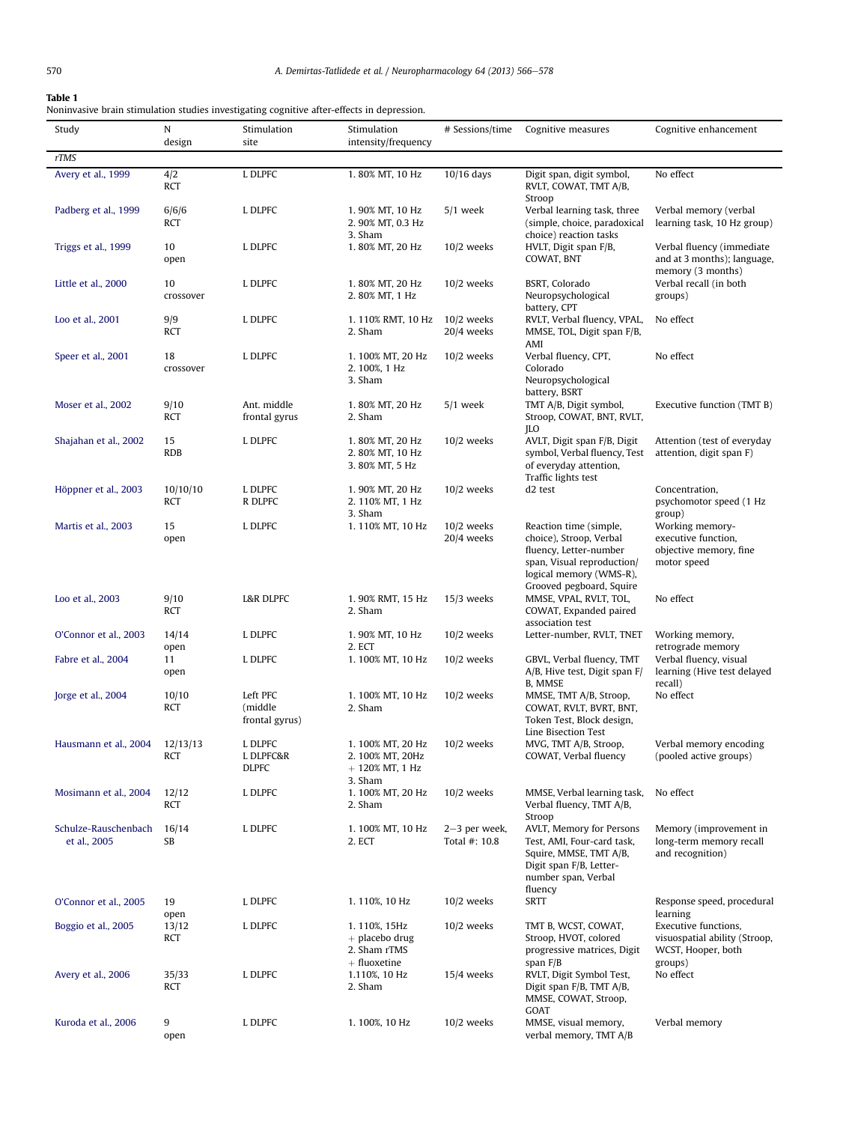#### <span id="page-4-0"></span>Table 1

Noninvasive brain stimulation studies investigating cognitive after-effects in depression.

| Study                                | ${\bf N}$<br>design    | Stimulation<br>site                   | Stimulation<br>intensity/frequency                                   | # Sessions/time                  | Cognitive measures                                                                                                                                               | Cognitive enhancement                                                                  |
|--------------------------------------|------------------------|---------------------------------------|----------------------------------------------------------------------|----------------------------------|------------------------------------------------------------------------------------------------------------------------------------------------------------------|----------------------------------------------------------------------------------------|
| rTMS                                 |                        |                                       |                                                                      |                                  |                                                                                                                                                                  |                                                                                        |
| Avery et al., 1999                   | 4/2<br>RCT             | L DLPFC                               | 1.80% MT, 10 Hz                                                      | $10/16$ days                     | Digit span, digit symbol,<br>RVLT, COWAT, TMT A/B,                                                                                                               | No effect                                                                              |
| Padberg et al., 1999                 | 6/6/6<br>RCT           | L DLPFC                               | 1.90% MT, 10 Hz<br>2.90% MT, 0.3 Hz                                  | $5/1$ week                       | Stroop<br>Verbal learning task, three<br>(simple, choice, paradoxical                                                                                            | Verbal memory (verbal<br>learning task, 10 Hz group)                                   |
| Triggs et al., 1999                  | 10<br>open             | L DLPFC                               | 3. Sham<br>1.80% MT, 20 Hz                                           | $10/2$ weeks                     | choice) reaction tasks<br>HVLT, Digit span F/B,<br>COWAT, BNT                                                                                                    | Verbal fluency (immediate<br>and at 3 months); language,                               |
| Little et al., 2000                  | 10<br>crossover        | L DLPFC                               | 1.80% MT, 20 Hz<br>2.80% MT, 1 Hz                                    | $10/2$ weeks                     | BSRT, Colorado<br>Neuropsychological<br>battery, CPT                                                                                                             | memory (3 months)<br>Verbal recall (in both<br>groups)                                 |
| Loo et al., 2001                     | 9/9<br>RCT             | L DLPFC                               | 1.110% RMT, 10 Hz<br>2. Sham                                         | $10/2$ weeks<br>20/4 weeks       | RVLT, Verbal fluency, VPAL,<br>MMSE, TOL, Digit span F/B,<br>AMI                                                                                                 | No effect                                                                              |
| Speer et al., 2001                   | 18<br>crossover        | L DLPFC                               | 1.100% MT, 20 Hz<br>2.100%, 1 Hz<br>3. Sham                          | $10/2$ weeks                     | Verbal fluency, CPT,<br>Colorado<br>Neuropsychological                                                                                                           | No effect                                                                              |
| Moser et al., 2002                   | 9/10<br><b>RCT</b>     | Ant. middle<br>frontal gyrus          | 1.80% MT, 20 Hz<br>2. Sham                                           | 5/1 week                         | battery, BSRT<br>TMT A/B, Digit symbol,<br>Stroop, COWAT, BNT, RVLT,<br><b>ILO</b>                                                                               | Executive function (TMT B)                                                             |
| Shajahan et al., 2002                | 15<br><b>RDB</b>       | L DLPFC                               | 1.80% MT, 20 Hz<br>2.80% MT, 10 Hz<br>3.80% MT, 5 Hz                 | $10/2$ weeks                     | AVLT, Digit span F/B, Digit<br>symbol, Verbal fluency, Test<br>of everyday attention,<br>Traffic lights test                                                     | Attention (test of everyday<br>attention, digit span F)                                |
| Höppner et al., 2003                 | 10/10/10<br><b>RCT</b> | L DLPFC<br>R DLPFC                    | 1.90% MT, 20 Hz<br>2.110% MT, 1 Hz<br>3. Sham                        | $10/2$ weeks                     | d <sub>2</sub> test                                                                                                                                              | Concentration,<br>psychomotor speed (1 Hz<br>group)                                    |
| Martis et al., 2003                  | 15<br>open             | L DLPFC                               | 1.110% MT, 10 Hz                                                     | $10/2$ weeks<br>20/4 weeks       | Reaction time (simple,<br>choice), Stroop, Verbal<br>fluency, Letter-number<br>span, Visual reproduction/<br>logical memory (WMS-R),<br>Grooved pegboard, Squire | Working memory-<br>executive function,<br>objective memory, fine<br>motor speed        |
| Loo et al., 2003                     | 9/10<br>RCT            | L&R DLPFC                             | 1.90% RMT, 15 Hz<br>2. Sham                                          | $15/3$ weeks                     | MMSE, VPAL, RVLT, TOL,<br>COWAT, Expanded paired<br>association test                                                                                             | No effect                                                                              |
| O'Connor et al., 2003                | 14/14<br>open          | L DLPFC                               | 1.90% MT, 10 Hz<br>2. ECT                                            | $10/2$ weeks                     | Letter-number, RVLT, TNET                                                                                                                                        | Working memory,<br>retrograde memory                                                   |
| Fabre et al., 2004                   | 11<br>open             | L DLPFC                               | 1.100% MT, 10 Hz                                                     | $10/2$ weeks                     | GBVL, Verbal fluency, TMT<br>A/B, Hive test, Digit span F/<br>B, MMSE                                                                                            | Verbal fluency, visual<br>learning (Hive test delayed<br>recall)                       |
| Jorge et al., 2004                   | 10/10<br>RCT           | Left PFC<br>(middle<br>frontal gyrus) | 1.100% MT, 10 Hz<br>2. Sham                                          | $10/2$ weeks                     | MMSE, TMT A/B, Stroop,<br>COWAT, RVLT, BVRT, BNT,<br>Token Test, Block design,<br>Line Bisection Test                                                            | No effect                                                                              |
| Hausmann et al., 2004                | 12/13/13<br>RCT        | L DLPFC<br>L DLPFC&R<br><b>DLPFC</b>  | 1.100% MT, 20 Hz<br>2.100% MT, 20Hz<br>$+ 120\%$ MT, 1 Hz<br>3. Sham | $10/2$ weeks                     | MVG, TMT A/B, Stroop,<br>COWAT, Verbal fluency                                                                                                                   | Verbal memory encoding<br>(pooled active groups)                                       |
| Mosimann et al., 2004                | 12/12<br>RCT           | L DLPFC                               | 1.100% MT, 20 Hz<br>2. Sham                                          | $10/2$ weeks                     | MMSE, Verbal learning task,<br>Verbal fluency, TMT A/B,<br>Stroop                                                                                                | No effect                                                                              |
| Schulze-Rauschenbach<br>et al., 2005 | 16/14<br>SB            | L DLPFC                               | 1.100% MT, 10 Hz<br>2. ECT                                           | $2-3$ per week,<br>Total #: 10.8 | AVLT, Memory for Persons<br>Test, AMI, Four-card task,<br>Squire, MMSE, TMT A/B,<br>Digit span F/B, Letter-<br>number span, Verbal<br>fluency                    | Memory (improvement in<br>long-term memory recall<br>and recognition)                  |
| O'Connor et al., 2005                | 19<br>open             | L DLPFC                               | 1.110%, 10 Hz                                                        | $10/2$ weeks                     | <b>SRTT</b>                                                                                                                                                      | Response speed, procedural<br>learning                                                 |
| Boggio et al., 2005                  | 13/12<br>RCT           | L DLPFC                               | 1.110%, 15Hz<br>$+$ placebo drug<br>2. Sham rTMS<br>$+$ fluoxetine   | 10/2 weeks                       | TMT B, WCST, COWAT,<br>Stroop, HVOT, colored<br>progressive matrices, Digit<br>span $F/B$                                                                        | Executive functions,<br>visuospatial ability (Stroop,<br>WCST, Hooper, both<br>groups) |
| Avery et al., 2006                   | 35/33<br>RCT           | L DLPFC                               | 1.110%, 10 Hz<br>2. Sham                                             | 15/4 weeks                       | RVLT, Digit Symbol Test,<br>Digit span F/B, TMT A/B,<br>MMSE, COWAT, Stroop,<br>GOAT                                                                             | No effect                                                                              |
| Kuroda et al., 2006                  | 9<br>open              | L DLPFC                               | 1.100%, 10 Hz                                                        | $10/2$ weeks                     | MMSE, visual memory,<br>verbal memory, TMT A/B                                                                                                                   | Verbal memory                                                                          |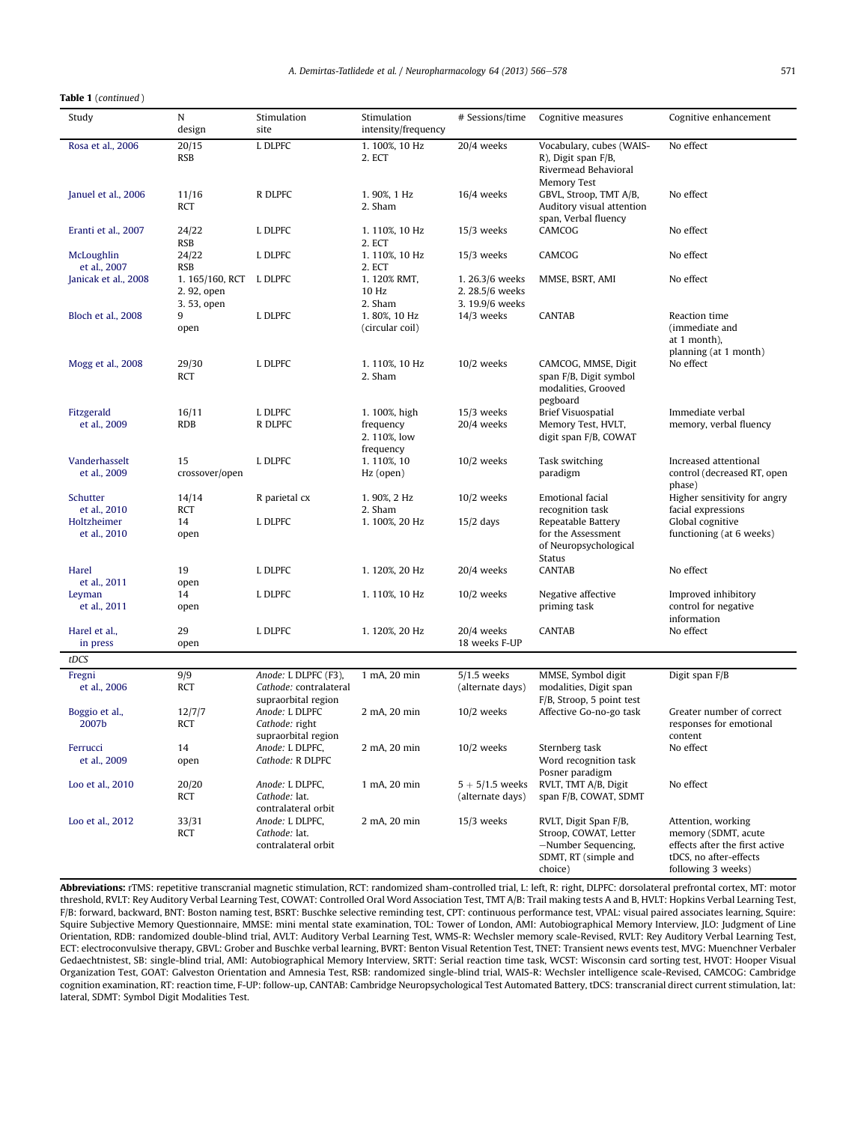#### Table 1 (continued )

| Study                         | N<br>design                   | Stimulation<br>site                                                   | Stimulation<br>intensity/frequency                     | # Sessions/time                                     | Cognitive measures                                                                                       | Cognitive enhancement                                                                                                       |
|-------------------------------|-------------------------------|-----------------------------------------------------------------------|--------------------------------------------------------|-----------------------------------------------------|----------------------------------------------------------------------------------------------------------|-----------------------------------------------------------------------------------------------------------------------------|
| Rosa et al., 2006             | 20/15<br><b>RSB</b>           | L DLPFC                                                               | 1.100%, 10 Hz<br>2. ECT                                | 20/4 weeks                                          | Vocabulary, cubes (WAIS-<br>R), Digit span F/B,<br>Rivermead Behavioral<br><b>Memory Test</b>            | No effect                                                                                                                   |
| Januel et al., 2006           | 11/16<br>RCT                  | R DLPFC                                                               | 1.90%, 1 Hz<br>2. Sham                                 | 16/4 weeks                                          | GBVL, Stroop, TMT A/B,<br>Auditory visual attention<br>span, Verbal fluency                              | No effect                                                                                                                   |
| Eranti et al., 2007           | 24/22<br>RSB                  | L DLPFC                                                               | 1.110%, 10 Hz<br>2. ECT                                | $15/3$ weeks                                        | CAMCOG                                                                                                   | No effect                                                                                                                   |
| McLoughlin<br>et al., 2007    | 24/22<br><b>RSB</b>           | L DLPFC                                                               | 1.110%, 10 Hz<br>2. ECT                                | $15/3$ weeks                                        | CAMCOG                                                                                                   | No effect                                                                                                                   |
| Janicak et al., 2008          | 1.165/160, RCT<br>2. 92, open | L DLPFC                                                               | 1.120% RMT,<br>10 Hz<br>2. Sham                        | 1.26.3/6 weeks<br>2.28.5/6 weeks<br>3. 19.9/6 weeks | MMSE, BSRT, AMI                                                                                          | No effect                                                                                                                   |
| Bloch et al., 2008            | 3.53, open<br>9<br>open       | L DLPFC                                                               | 1.80%, 10 Hz<br>(circular coil)                        | $14/3$ weeks                                        | <b>CANTAB</b>                                                                                            | Reaction time<br>(immediate and<br>at 1 month),<br>planning (at 1 month)                                                    |
| Mogg et al., 2008             | 29/30<br>RCT                  | L DLPFC                                                               | 1.110%, 10 Hz<br>2. Sham                               | $10/2$ weeks                                        | CAMCOG, MMSE, Digit<br>span F/B, Digit symbol<br>modalities, Grooved<br>pegboard                         | No effect                                                                                                                   |
| Fitzgerald<br>et al., 2009    | 16/11<br><b>RDB</b>           | L DLPFC<br>R DLPFC                                                    | 1, 100%, high<br>frequency<br>2.110%, low<br>frequency | $15/3$ weeks<br>20/4 weeks                          | <b>Brief Visuospatial</b><br>Memory Test, HVLT,<br>digit span F/B, COWAT                                 | Immediate verbal<br>memory, verbal fluency                                                                                  |
| Vanderhasselt<br>et al., 2009 | 15<br>crossover/open          | L DLPFC                                                               | 1.110%, 10<br>Hz (open)                                | $10/2$ weeks                                        | Task switching<br>paradigm                                                                               | Increased attentional<br>control (decreased RT, open<br>phase)                                                              |
| Schutter<br>et al., 2010      | 14/14<br>RCT                  | R parietal cx                                                         | 1.90%, 2 Hz<br>2. Sham                                 | $10/2$ weeks                                        | Emotional facial<br>recognition task                                                                     | Higher sensitivity for angry<br>facial expressions                                                                          |
| Holtzheimer<br>et al., 2010   | 14<br>open                    | L DLPFC                                                               | 1.100%, 20 Hz                                          | $15/2$ days                                         | Repeatable Battery<br>for the Assessment<br>of Neuropsychological<br>Status                              | Global cognitive<br>functioning (at 6 weeks)                                                                                |
| Harel<br>et al., 2011         | 19<br>open                    | L DLPFC                                                               | 1.120%, 20 Hz                                          | 20/4 weeks                                          | <b>CANTAB</b>                                                                                            | No effect                                                                                                                   |
| Leyman<br>et al., 2011        | 14<br>open                    | L DLPFC                                                               | 1.110%, 10 Hz                                          | $10/2$ weeks                                        | Negative affective<br>priming task                                                                       | Improved inhibitory<br>control for negative<br>information                                                                  |
| Harel et al.,<br>in press     | 29<br>open                    | L DLPFC                                                               | 1.120%, 20 Hz                                          | 20/4 weeks<br>18 weeks F-UP                         | <b>CANTAB</b>                                                                                            | No effect                                                                                                                   |
| tDCS                          |                               |                                                                       |                                                        |                                                     |                                                                                                          |                                                                                                                             |
| Fregni<br>et al., 2006        | 9/9<br><b>RCT</b>             | Anode: L DLPFC (F3),<br>Cathode: contralateral<br>supraorbital region | 1 mA, 20 min                                           | $5/1.5$ weeks<br>(alternate days)                   | MMSE, Symbol digit<br>modalities, Digit span<br>F/B, Stroop, 5 point test                                | Digit span F/B                                                                                                              |
| Boggio et al.,<br>2007b       | 12/7/7<br>RCT                 | Anode: L DLPFC<br>Cathode: right<br>supraorbital region               | 2 mA, 20 min                                           | $10/2$ weeks                                        | Affective Go-no-go task                                                                                  | Greater number of correct<br>responses for emotional<br>content                                                             |
| Ferrucci<br>et al., 2009      | 14<br>open                    | Anode: L DLPFC,<br>Cathode: R DLPFC                                   | 2 mA, 20 min                                           | $10/2$ weeks                                        | Sternberg task<br>Word recognition task<br>Posner paradigm                                               | No effect                                                                                                                   |
| Loo et al., 2010              | 20/20<br>RCT                  | Anode: L DLPFC,<br>Cathode: lat.<br>contralateral orbit               | 1 mA, 20 min                                           | $5 + 5/1.5$ weeks<br>(alternate days)               | RVLT, TMT A/B, Digit<br>span F/B, COWAT, SDMT                                                            | No effect                                                                                                                   |
| Loo et al., 2012              | 33/31<br>RCT                  | Anode: L DLPFC,<br>Cathode: lat.<br>contralateral orbit               | 2 mA, 20 min                                           | $15/3$ weeks                                        | RVLT, Digit Span F/B,<br>Stroop, COWAT, Letter<br>-Number Sequencing,<br>SDMT, RT (simple and<br>choice) | Attention, working<br>memory (SDMT, acute<br>effects after the first active<br>tDCS, no after-effects<br>following 3 weeks) |

Abbreviations: rTMS: repetitive transcranial magnetic stimulation, RCT: randomized sham-controlled trial, L: left, R: right, DLPFC: dorsolateral prefrontal cortex, MT: motor threshold, RVLT: Rey Auditory Verbal Learning Test, COWAT: Controlled Oral Word Association Test, TMT A/B: Trail making tests A and B, HVLT: Hopkins Verbal Learning Test, F/B: forward, backward, BNT: Boston naming test, BSRT: Buschke selective reminding test, CPT: continuous performance test, VPAL: visual paired associates learning, Squire: Squire Subjective Memory Questionnaire, MMSE: mini mental state examination, TOL: Tower of London, AMI: Autobiographical Memory Interview, JLO: Judgment of Line Orientation, RDB: randomized double-blind trial, AVLT: Auditory Verbal Learning Test, WMS-R: Wechsler memory scale-Revised, RVLT: Rey Auditory Verbal Learning Test, ECT: electroconvulsive therapy, GBVL: Grober and Buschke verbal learning, BVRT: Benton Visual Retention Test, TNET: Transient news events test, MVG: Muenchner Verbaler Gedaechtnistest, SB: single-blind trial, AMI: Autobiographical Memory Interview, SRTT: Serial reaction time task, WCST: Wisconsin card sorting test, HVOT: Hooper Visual Organization Test, GOAT: Galveston Orientation and Amnesia Test, RSB: randomized single-blind trial, WAIS-R: Wechsler intelligence scale-Revised, CAMCOG: Cambridge cognition examination, RT: reaction time, F-UP: follow-up, CANTAB: Cambridge Neuropsychological Test Automated Battery, tDCS: transcranial direct current stimulation, lat: lateral, SDMT: Symbol Digit Modalities Test.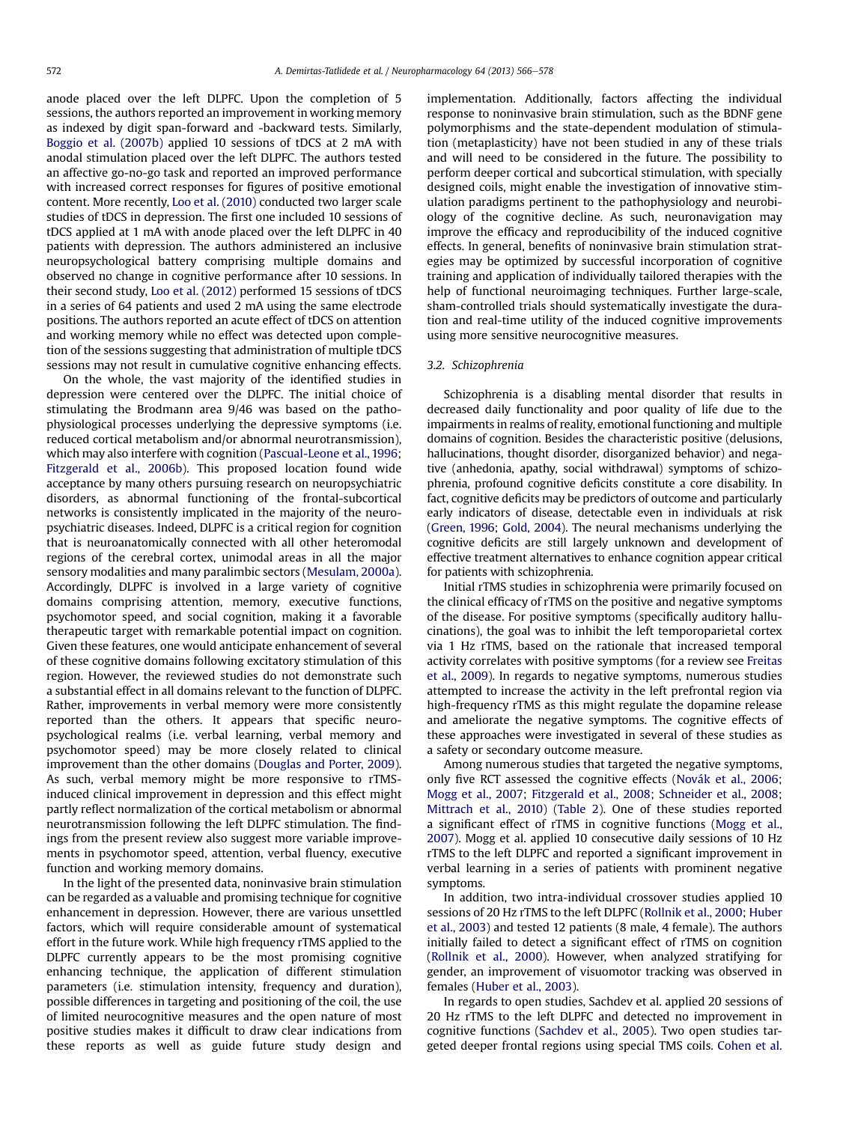anode placed over the left DLPFC. Upon the completion of 5 sessions, the authors reported an improvement in working memory as indexed by digit span-forward and -backward tests. Similarly, [Boggio et al. \(2007b\)](#page-10-0) applied 10 sessions of tDCS at 2 mA with anodal stimulation placed over the left DLPFC. The authors tested an affective go-no-go task and reported an improved performance with increased correct responses for figures of positive emotional content. More recently, [Loo et al. \(2010\)](#page-11-0) conducted two larger scale studies of tDCS in depression. The first one included 10 sessions of tDCS applied at 1 mA with anode placed over the left DLPFC in 40 patients with depression. The authors administered an inclusive neuropsychological battery comprising multiple domains and observed no change in cognitive performance after 10 sessions. In their second study, [Loo et al. \(2012\)](#page-11-0) performed 15 sessions of tDCS in a series of 64 patients and used 2 mA using the same electrode positions. The authors reported an acute effect of tDCS on attention and working memory while no effect was detected upon completion of the sessions suggesting that administration of multiple tDCS sessions may not result in cumulative cognitive enhancing effects.

On the whole, the vast majority of the identified studies in depression were centered over the DLPFC. The initial choice of stimulating the Brodmann area 9/46 was based on the pathophysiological processes underlying the depressive symptoms (i.e. reduced cortical metabolism and/or abnormal neurotransmission), which may also interfere with cognition [\(Pascual-Leone et al., 1996](#page-12-0); [Fitzgerald et al., 2006b\)](#page-10-0). This proposed location found wide acceptance by many others pursuing research on neuropsychiatric disorders, as abnormal functioning of the frontal-subcortical networks is consistently implicated in the majority of the neuropsychiatric diseases. Indeed, DLPFC is a critical region for cognition that is neuroanatomically connected with all other heteromodal regions of the cerebral cortex, unimodal areas in all the major sensory modalities and many paralimbic sectors ([Mesulam, 2000a\)](#page-11-0). Accordingly, DLPFC is involved in a large variety of cognitive domains comprising attention, memory, executive functions, psychomotor speed, and social cognition, making it a favorable therapeutic target with remarkable potential impact on cognition. Given these features, one would anticipate enhancement of several of these cognitive domains following excitatory stimulation of this region. However, the reviewed studies do not demonstrate such a substantial effect in all domains relevant to the function of DLPFC. Rather, improvements in verbal memory were more consistently reported than the others. It appears that specific neuropsychological realms (i.e. verbal learning, verbal memory and psychomotor speed) may be more closely related to clinical improvement than the other domains ([Douglas and Porter, 2009\)](#page-10-0). As such, verbal memory might be more responsive to rTMSinduced clinical improvement in depression and this effect might partly reflect normalization of the cortical metabolism or abnormal neurotransmission following the left DLPFC stimulation. The findings from the present review also suggest more variable improvements in psychomotor speed, attention, verbal fluency, executive function and working memory domains.

In the light of the presented data, noninvasive brain stimulation can be regarded as a valuable and promising technique for cognitive enhancement in depression. However, there are various unsettled factors, which will require considerable amount of systematical effort in the future work. While high frequency rTMS applied to the DLPFC currently appears to be the most promising cognitive enhancing technique, the application of different stimulation parameters (i.e. stimulation intensity, frequency and duration), possible differences in targeting and positioning of the coil, the use of limited neurocognitive measures and the open nature of most positive studies makes it difficult to draw clear indications from these reports as well as guide future study design and implementation. Additionally, factors affecting the individual response to noninvasive brain stimulation, such as the BDNF gene polymorphisms and the state-dependent modulation of stimulation (metaplasticity) have not been studied in any of these trials and will need to be considered in the future. The possibility to perform deeper cortical and subcortical stimulation, with specially designed coils, might enable the investigation of innovative stimulation paradigms pertinent to the pathophysiology and neurobiology of the cognitive decline. As such, neuronavigation may improve the efficacy and reproducibility of the induced cognitive effects. In general, benefits of noninvasive brain stimulation strategies may be optimized by successful incorporation of cognitive training and application of individually tailored therapies with the help of functional neuroimaging techniques. Further large-scale, sham-controlled trials should systematically investigate the duration and real-time utility of the induced cognitive improvements using more sensitive neurocognitive measures.

#### 3.2. Schizophrenia

Schizophrenia is a disabling mental disorder that results in decreased daily functionality and poor quality of life due to the impairments in realms of reality, emotional functioning and multiple domains of cognition. Besides the characteristic positive (delusions, hallucinations, thought disorder, disorganized behavior) and negative (anhedonia, apathy, social withdrawal) symptoms of schizophrenia, profound cognitive deficits constitute a core disability. In fact, cognitive deficits may be predictors of outcome and particularly early indicators of disease, detectable even in individuals at risk ([Green, 1996](#page-11-0); [Gold, 2004\)](#page-11-0). The neural mechanisms underlying the cognitive deficits are still largely unknown and development of effective treatment alternatives to enhance cognition appear critical for patients with schizophrenia.

Initial rTMS studies in schizophrenia were primarily focused on the clinical efficacy of rTMS on the positive and negative symptoms of the disease. For positive symptoms (specifically auditory hallucinations), the goal was to inhibit the left temporoparietal cortex via 1 Hz rTMS, based on the rationale that increased temporal activity correlates with positive symptoms (for a review see [Freitas](#page-11-0) [et al., 2009\)](#page-11-0). In regards to negative symptoms, numerous studies attempted to increase the activity in the left prefrontal region via high-frequency rTMS as this might regulate the dopamine release and ameliorate the negative symptoms. The cognitive effects of these approaches were investigated in several of these studies as a safety or secondary outcome measure.

Among numerous studies that targeted the negative symptoms, only five RCT assessed the cognitive effects [\(Novák et al., 2006](#page-12-0); [Mogg et al., 2007;](#page-11-0) [Fitzgerald et al., 2008;](#page-11-0) [Schneider et al., 2008](#page-12-0); [Mittrach et al., 2010\)](#page-11-0) [\(Table 2](#page-7-0)). One of these studies reported a significant effect of rTMS in cognitive functions ([Mogg et al.,](#page-11-0) [2007\)](#page-11-0). Mogg et al. applied 10 consecutive daily sessions of 10 Hz rTMS to the left DLPFC and reported a significant improvement in verbal learning in a series of patients with prominent negative symptoms.

In addition, two intra-individual crossover studies applied 10 sessions of 20 Hz rTMS to the left DLPFC [\(Rollnik et al., 2000;](#page-12-0) [Huber](#page-11-0) [et al., 2003\)](#page-11-0) and tested 12 patients (8 male, 4 female). The authors initially failed to detect a significant effect of rTMS on cognition ([Rollnik et al., 2000](#page-12-0)). However, when analyzed stratifying for gender, an improvement of visuomotor tracking was observed in females [\(Huber et al., 2003](#page-11-0)).

In regards to open studies, Sachdev et al. applied 20 sessions of 20 Hz rTMS to the left DLPFC and detected no improvement in cognitive functions [\(Sachdev et al., 2005](#page-12-0)). Two open studies targeted deeper frontal regions using special TMS coils. [Cohen et al.](#page-10-0)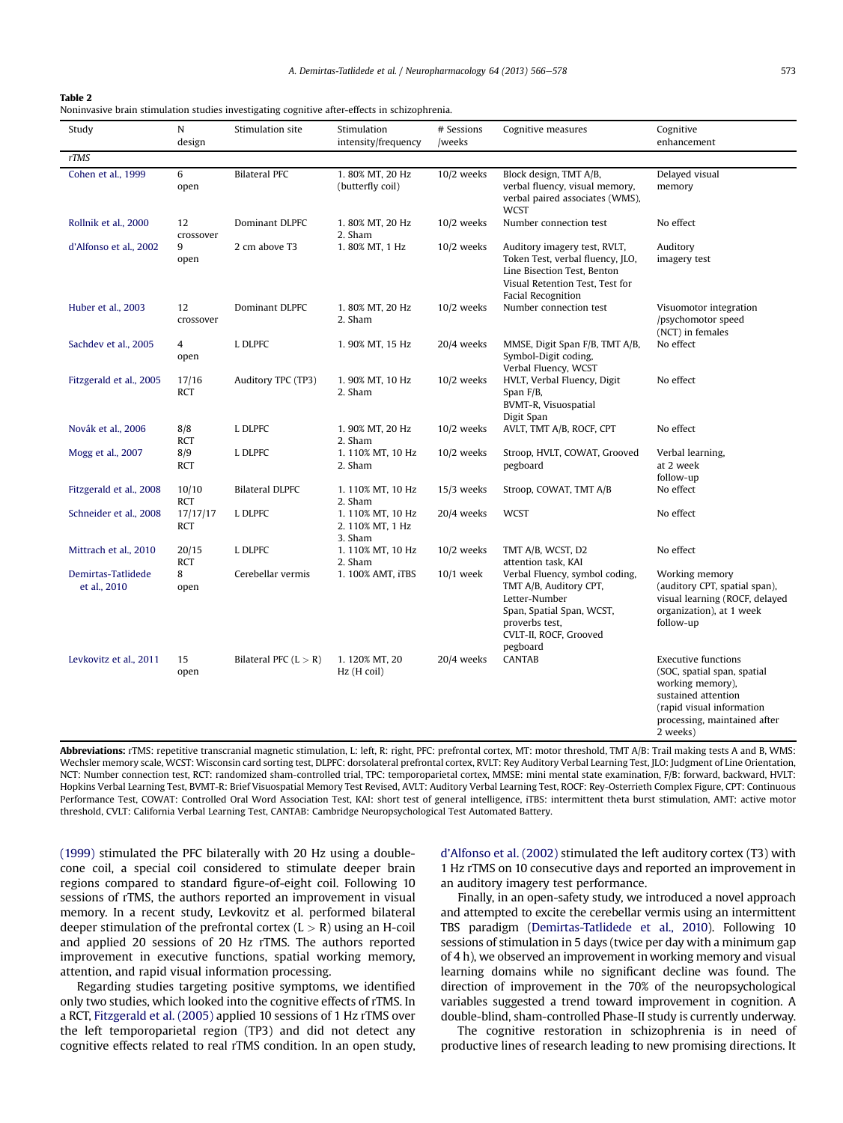#### <span id="page-7-0"></span>Table 2

Noninvasive brain stimulation studies investigating cognitive after-effects in schizophrenia.

| Study                              | N<br>design            | Stimulation site        | Stimulation<br>intensity/frequency                                             | # Sessions<br>/weeks | Cognitive measures                                                                                                                                              | Cognitive<br>enhancement                                                                                                                                                      |
|------------------------------------|------------------------|-------------------------|--------------------------------------------------------------------------------|----------------------|-----------------------------------------------------------------------------------------------------------------------------------------------------------------|-------------------------------------------------------------------------------------------------------------------------------------------------------------------------------|
| rTMS                               |                        |                         |                                                                                |                      |                                                                                                                                                                 |                                                                                                                                                                               |
| Cohen et al., 1999                 | 6<br>open              | <b>Bilateral PFC</b>    | 1.80% MT.20 Hz<br>(butterfly coil)                                             | 10/2 weeks           | Block design, TMT A/B,<br>verbal fluency, visual memory,<br>verbal paired associates (WMS),<br><b>WCST</b>                                                      | Delayed visual<br>memory                                                                                                                                                      |
| Rollnik et al., 2000               | 12<br>crossover        | Dominant DLPFC          | 1.80% MT, 20 Hz<br>2. Sham                                                     | 10/2 weeks           | Number connection test                                                                                                                                          | No effect                                                                                                                                                                     |
| d'Alfonso et al., 2002             | 9<br>open              | 2 cm above T3           | 1.80% MT, 1 Hz                                                                 | $10/2$ weeks         | Auditory imagery test, RVLT,<br>Token Test, verbal fluency, JLO,<br>Line Bisection Test, Benton<br>Visual Retention Test, Test for<br><b>Facial Recognition</b> | Auditory<br>imagery test                                                                                                                                                      |
| Huber et al., 2003                 | 12<br>crossover        | Dominant DLPFC          | 1.80% MT, 20 Hz<br>2. Sham                                                     | $10/2$ weeks         | Number connection test                                                                                                                                          | Visuomotor integration<br>/psychomotor speed<br>(NCT) in females                                                                                                              |
| Sachdev et al., 2005               | 4<br>open              | L DLPFC                 | 1.90% MT, 15 Hz                                                                | 20/4 weeks           | MMSE, Digit Span F/B, TMT A/B,<br>Symbol-Digit coding,<br>Verbal Fluency, WCST                                                                                  | No effect                                                                                                                                                                     |
| Fitzgerald et al., 2005            | 17/16<br><b>RCT</b>    | Auditory TPC (TP3)      | 1.90% MT. 10 Hz<br>2. Sham                                                     | 10/2 weeks           | HVLT, Verbal Fluency, Digit<br>Span F/B,<br>BVMT-R, Visuospatial<br>Digit Span                                                                                  | No effect                                                                                                                                                                     |
| Novák et al., 2006                 | 8/8<br><b>RCT</b>      | L DLPFC                 | 1.90% MT, 20 Hz<br>2. Sham                                                     | $10/2$ weeks         | AVLT, TMT A/B, ROCF, CPT                                                                                                                                        | No effect                                                                                                                                                                     |
| Mogg et al., 2007                  | 8/9<br><b>RCT</b>      | L DLPFC                 | 1.110% MT, 10 Hz<br>2. Sham                                                    | $10/2$ weeks         | Stroop, HVLT, COWAT, Grooved<br>pegboard                                                                                                                        | Verbal learning,<br>at 2 week<br>follow-up                                                                                                                                    |
| Fitzgerald et al., 2008            | 10/10<br><b>RCT</b>    | <b>Bilateral DLPFC</b>  | 1.110% MT, 10 Hz<br>2. Sham                                                    | 15/3 weeks           | Stroop, COWAT, TMT A/B                                                                                                                                          | No effect                                                                                                                                                                     |
| Schneider et al., 2008             | 17/17/17<br><b>RCT</b> | L DLPFC                 | 1.110% MT, 10 Hz<br>2.110% MT, 1 Hz<br>3. Sham                                 | 20/4 weeks           | <b>WCST</b>                                                                                                                                                     | No effect                                                                                                                                                                     |
| Mittrach et al., 2010              | 20/15<br><b>RCT</b>    | L DLPFC                 | 1.110% MT, 10 Hz<br>2. Sham                                                    | $10/2$ weeks         | TMT A/B, WCST, D2<br>attention task, KAI                                                                                                                        | No effect                                                                                                                                                                     |
| Demirtas-Tatlidede<br>et al., 2010 | 8<br>open              | Cerebellar vermis       | 1.100% AMT, iTBS                                                               | $10/1$ week          | Verbal Fluency, symbol coding,<br>TMT A/B, Auditory CPT,<br>Letter-Number<br>Span, Spatial Span, WCST,<br>proverbs test,<br>CVLT-II, ROCF, Grooved<br>pegboard  | Working memory<br>(auditory CPT, spatial span),<br>visual learning (ROCF, delayed<br>organization), at 1 week<br>follow-up                                                    |
| Levkovitz et al., 2011             | 15<br>open             | Bilateral PFC $(L > R)$ | 1.120% MT, 20<br>Hz (H coil)<br>$\sim$ $\sim$ $\sim$ $\sim$<br>$\cdot$ $\cdot$ | 20/4 weeks           | <b>CANTAB</b>                                                                                                                                                   | <b>Executive functions</b><br>(SOC, spatial span, spatial<br>working memory),<br>sustained attention<br>(rapid visual information<br>processing, maintained after<br>2 weeks) |

Abbreviations: rTMS: repetitive transcranial magnetic stimulation, L: left, R: right, PFC: prefrontal cortex, MT: motor threshold, TMT A/B: Trail making tests A and B, WMS: Wechsler memory scale, WCST: Wisconsin card sorting test, DLPFC: dorsolateral prefrontal cortex, RVLT: Rey Auditory Verbal Learning Test, JLO: Judgment of Line Orientation, NCT: Number connection test, RCT: randomized sham-controlled trial, TPC: temporoparietal cortex, MMSE: mini mental state examination, F/B: forward, backward, HVLT: Hopkins Verbal Learning Test, BVMT-R: Brief Visuospatial Memory Test Revised, AVLT: Auditory Verbal Learning Test, ROCF: Rey-Osterrieth Complex Figure, CPT: Continuous Performance Test, COWAT: Controlled Oral Word Association Test, KAI: short test of general intelligence, iTBS: intermittent theta burst stimulation, AMT: active motor threshold, CVLT: California Verbal Learning Test, CANTAB: Cambridge Neuropsychological Test Automated Battery.

[\(1999\)](#page-10-0) stimulated the PFC bilaterally with 20 Hz using a doublecone coil, a special coil considered to stimulate deeper brain regions compared to standard figure-of-eight coil. Following 10 sessions of rTMS, the authors reported an improvement in visual memory. In a recent study, Levkovitz et al. performed bilateral deeper stimulation of the prefrontal cortex  $(L > R)$  using an H-coil and applied 20 sessions of 20 Hz rTMS. The authors reported improvement in executive functions, spatial working memory, attention, and rapid visual information processing.

Regarding studies targeting positive symptoms, we identified only two studies, which looked into the cognitive effects of rTMS. In a RCT, [Fitzgerald et al. \(2005\)](#page-10-0) applied 10 sessions of 1 Hz rTMS over the left temporoparietal region (TP3) and did not detect any cognitive effects related to real rTMS condition. In an open study, d'[Alfonso et al. \(2002\)](#page-10-0) stimulated the left auditory cortex (T3) with 1 Hz rTMS on 10 consecutive days and reported an improvement in an auditory imagery test performance.

Finally, in an open-safety study, we introduced a novel approach and attempted to excite the cerebellar vermis using an intermittent TBS paradigm ([Demirtas-Tatlidede et al., 2010](#page-10-0)). Following 10 sessions of stimulation in 5 days (twice per day with a minimum gap of 4 h), we observed an improvement in working memory and visual learning domains while no significant decline was found. The direction of improvement in the 70% of the neuropsychological variables suggested a trend toward improvement in cognition. A double-blind, sham-controlled Phase-II study is currently underway.

The cognitive restoration in schizophrenia is in need of productive lines of research leading to new promising directions. It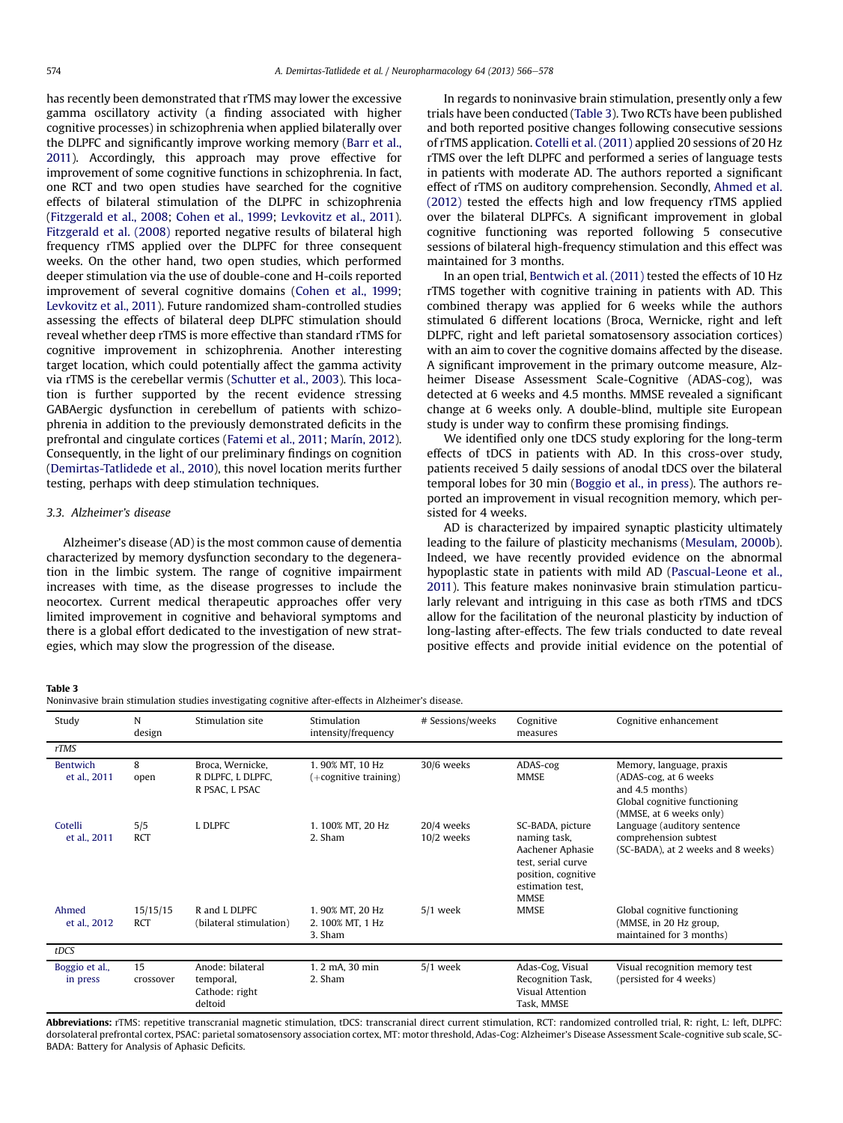has recently been demonstrated that rTMS may lower the excessive gamma oscillatory activity (a finding associated with higher cognitive processes) in schizophrenia when applied bilaterally over the DLPFC and significantly improve working memory [\(Barr et al.,](#page-10-0) [2011\)](#page-10-0). Accordingly, this approach may prove effective for improvement of some cognitive functions in schizophrenia. In fact, one RCT and two open studies have searched for the cognitive effects of bilateral stimulation of the DLPFC in schizophrenia ([Fitzgerald et al., 2008;](#page-11-0) [Cohen et al., 1999;](#page-10-0) [Levkovitz et al., 2011\)](#page-11-0). [Fitzgerald et al. \(2008\)](#page-11-0) reported negative results of bilateral high frequency rTMS applied over the DLPFC for three consequent weeks. On the other hand, two open studies, which performed deeper stimulation via the use of double-cone and H-coils reported improvement of several cognitive domains ([Cohen et al., 1999](#page-10-0); [Levkovitz et al., 2011](#page-11-0)). Future randomized sham-controlled studies assessing the effects of bilateral deep DLPFC stimulation should reveal whether deep rTMS is more effective than standard rTMS for cognitive improvement in schizophrenia. Another interesting target location, which could potentially affect the gamma activity via rTMS is the cerebellar vermis [\(Schutter et al., 2003\)](#page-12-0). This location is further supported by the recent evidence stressing GABAergic dysfunction in cerebellum of patients with schizophrenia in addition to the previously demonstrated deficits in the prefrontal and cingulate cortices ([Fatemi et al., 2011;](#page-10-0) [Marín, 2012](#page-11-0)). Consequently, in the light of our preliminary findings on cognition ([Demirtas-Tatlidede et al., 2010\)](#page-10-0), this novel location merits further testing, perhaps with deep stimulation techniques.

#### 3.3. Alzheimer's disease

Alzheimer's disease (AD) is the most common cause of dementia characterized by memory dysfunction secondary to the degeneration in the limbic system. The range of cognitive impairment increases with time, as the disease progresses to include the neocortex. Current medical therapeutic approaches offer very limited improvement in cognitive and behavioral symptoms and there is a global effort dedicated to the investigation of new strategies, which may slow the progression of the disease.

In regards to noninvasive brain stimulation, presently only a few trials have been conducted (Table 3). Two RCTs have been published and both reported positive changes following consecutive sessions of rTMS application. [Cotelli et al. \(2011\)](#page-10-0) applied 20 sessions of 20 Hz rTMS over the left DLPFC and performed a series of language tests in patients with moderate AD. The authors reported a significant effect of rTMS on auditory comprehension. Secondly, [Ahmed et al.](#page-10-0) [\(2012\)](#page-10-0) tested the effects high and low frequency rTMS applied over the bilateral DLPFCs. A significant improvement in global cognitive functioning was reported following 5 consecutive sessions of bilateral high-frequency stimulation and this effect was maintained for 3 months.

In an open trial, [Bentwich et al. \(2011\)](#page-10-0) tested the effects of 10 Hz rTMS together with cognitive training in patients with AD. This combined therapy was applied for 6 weeks while the authors stimulated 6 different locations (Broca, Wernicke, right and left DLPFC, right and left parietal somatosensory association cortices) with an aim to cover the cognitive domains affected by the disease. A significant improvement in the primary outcome measure, Alzheimer Disease Assessment Scale-Cognitive (ADAS-cog), was detected at 6 weeks and 4.5 months. MMSE revealed a significant change at 6 weeks only. A double-blind, multiple site European study is under way to confirm these promising findings.

We identified only one tDCS study exploring for the long-term effects of tDCS in patients with AD. In this cross-over study, patients received 5 daily sessions of anodal tDCS over the bilateral temporal lobes for 30 min ([Boggio et al., in press\)](#page-10-0). The authors reported an improvement in visual recognition memory, which persisted for 4 weeks.

AD is characterized by impaired synaptic plasticity ultimately leading to the failure of plasticity mechanisms [\(Mesulam, 2000b\)](#page-11-0). Indeed, we have recently provided evidence on the abnormal hypoplastic state in patients with mild AD ([Pascual-Leone et al.,](#page-12-0) [2011\)](#page-12-0). This feature makes noninvasive brain stimulation particularly relevant and intriguing in this case as both rTMS and tDCS allow for the facilitation of the neuronal plasticity by induction of long-lasting after-effects. The few trials conducted to date reveal positive effects and provide initial evidence on the potential of

#### Table 3

Noninvasive brain stimulation studies investigating cognitive after-effects in Alzheimer's disease.

| Study                           | N<br>design            | Stimulation site                                           | Stimulation<br>intensity/frequency            | # Sessions/weeks         | Cognitive<br>measures                                                                                                                | Cognitive enhancement                                                                                                            |
|---------------------------------|------------------------|------------------------------------------------------------|-----------------------------------------------|--------------------------|--------------------------------------------------------------------------------------------------------------------------------------|----------------------------------------------------------------------------------------------------------------------------------|
| rTMS                            |                        |                                                            |                                               |                          |                                                                                                                                      |                                                                                                                                  |
| <b>Bentwich</b><br>et al., 2011 | 8<br>open              | Broca, Wernicke,<br>R DLPFC, L DLPFC,<br>R PSAC, L PSAC    | 1.90% MT, 10 Hz<br>$(+$ cognitive training)   | 30/6 weeks               | ADAS-cog<br><b>MMSE</b>                                                                                                              | Memory, language, praxis<br>(ADAS-cog, at 6 weeks)<br>and 4.5 months)<br>Global cognitive functioning<br>(MMSE, at 6 weeks only) |
| Cotelli<br>et al., 2011         | 5/5<br><b>RCT</b>      | L DLPFC                                                    | 1.100% MT, 20 Hz<br>2. Sham                   | 20/4 weeks<br>10/2 weeks | SC-BADA, picture<br>naming task,<br>Aachener Aphasie<br>test, serial curve<br>position, cognitive<br>estimation test,<br><b>MMSE</b> | Language (auditory sentence<br>comprehension subtest<br>(SC-BADA), at 2 weeks and 8 weeks)                                       |
| Ahmed<br>et al., 2012           | 15/15/15<br><b>RCT</b> | R and L DLPFC<br>(bilateral stimulation)                   | 1.90% MT. 20 Hz<br>2.100% MT, 1 Hz<br>3. Sham | 5/1 week                 | <b>MMSE</b>                                                                                                                          | Global cognitive functioning<br>(MMSE, in 20 Hz group,<br>maintained for 3 months)                                               |
| tDCS                            |                        |                                                            |                                               |                          |                                                                                                                                      |                                                                                                                                  |
| Boggio et al.,<br>in press      | 15<br>crossover        | Anode: bilateral<br>temporal,<br>Cathode: right<br>deltoid | 1. 2 mA, 30 min<br>2. Sham                    | 5/1 week                 | Adas-Cog, Visual<br>Recognition Task,<br><b>Visual Attention</b><br>Task, MMSE                                                       | Visual recognition memory test<br>(persisted for 4 weeks)                                                                        |

Abbreviations: rTMS: repetitive transcranial magnetic stimulation, tDCS: transcranial direct current stimulation, RCT: randomized controlled trial, R: right, L: left, DLPFC: dorsolateral prefrontal cortex, PSAC: parietal somatosensory association cortex, MT: motor threshold, Adas-Cog: Alzheimer's Disease Assessment Scale-cognitive sub scale, SC-BADA: Battery for Analysis of Aphasic Deficits.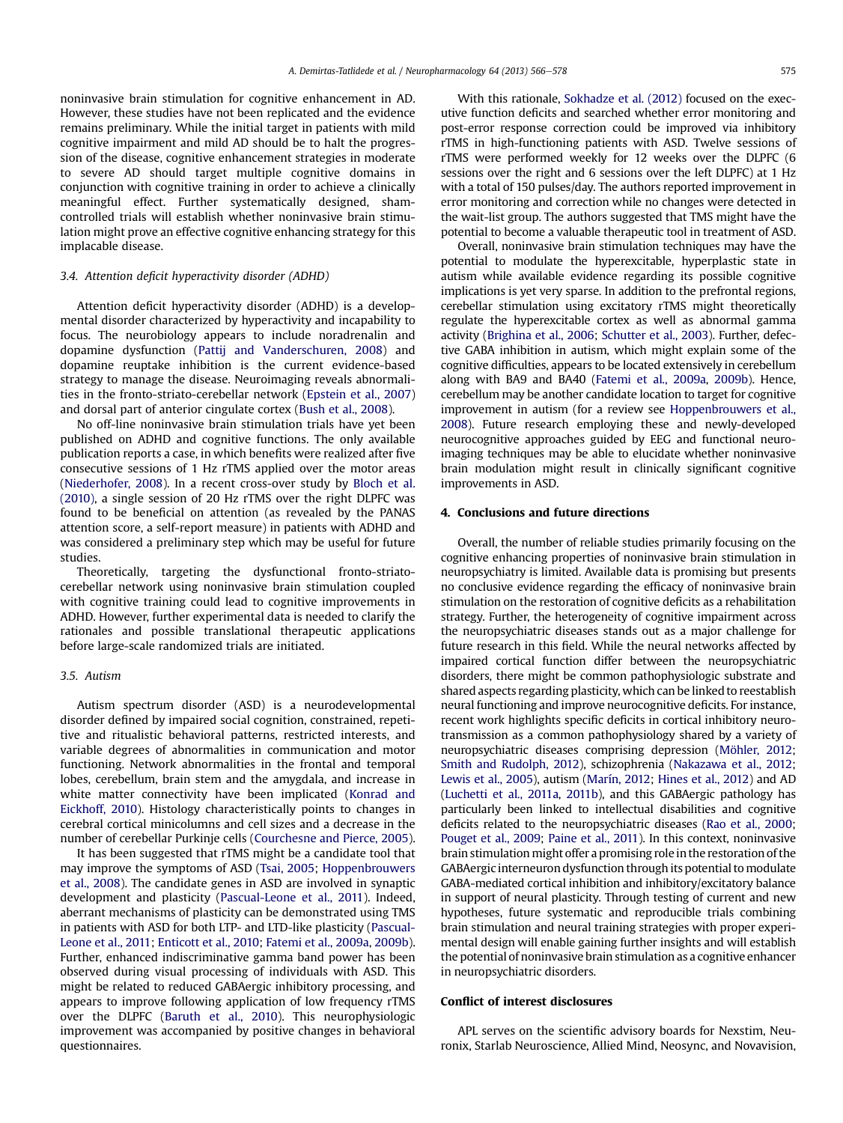noninvasive brain stimulation for cognitive enhancement in AD. However, these studies have not been replicated and the evidence remains preliminary. While the initial target in patients with mild cognitive impairment and mild AD should be to halt the progression of the disease, cognitive enhancement strategies in moderate to severe AD should target multiple cognitive domains in conjunction with cognitive training in order to achieve a clinically meaningful effect. Further systematically designed, shamcontrolled trials will establish whether noninvasive brain stimulation might prove an effective cognitive enhancing strategy for this implacable disease.

#### 3.4. Attention deficit hyperactivity disorder (ADHD)

Attention deficit hyperactivity disorder (ADHD) is a developmental disorder characterized by hyperactivity and incapability to focus. The neurobiology appears to include noradrenalin and dopamine dysfunction [\(Pattij and Vanderschuren, 2008](#page-12-0)) and dopamine reuptake inhibition is the current evidence-based strategy to manage the disease. Neuroimaging reveals abnormalities in the fronto-striato-cerebellar network ([Epstein et al., 2007\)](#page-10-0) and dorsal part of anterior cingulate cortex [\(Bush et al., 2008](#page-10-0)).

No off-line noninvasive brain stimulation trials have yet been published on ADHD and cognitive functions. The only available publication reports a case, in which benefits were realized after five consecutive sessions of 1 Hz rTMS applied over the motor areas ([Niederhofer, 2008](#page-12-0)). In a recent cross-over study by [Bloch et al.](#page-10-0) [\(2010\),](#page-10-0) a single session of 20 Hz rTMS over the right DLPFC was found to be beneficial on attention (as revealed by the PANAS attention score, a self-report measure) in patients with ADHD and was considered a preliminary step which may be useful for future studies.

Theoretically, targeting the dysfunctional fronto-striatocerebellar network using noninvasive brain stimulation coupled with cognitive training could lead to cognitive improvements in ADHD. However, further experimental data is needed to clarify the rationales and possible translational therapeutic applications before large-scale randomized trials are initiated.

#### 3.5. Autism

Autism spectrum disorder (ASD) is a neurodevelopmental disorder defined by impaired social cognition, constrained, repetitive and ritualistic behavioral patterns, restricted interests, and variable degrees of abnormalities in communication and motor functioning. Network abnormalities in the frontal and temporal lobes, cerebellum, brain stem and the amygdala, and increase in white matter connectivity have been implicated ([Konrad and](#page-11-0) [Eickhoff, 2010\)](#page-11-0). Histology characteristically points to changes in cerebral cortical minicolumns and cell sizes and a decrease in the number of cerebellar Purkinje cells ([Courchesne and Pierce, 2005\)](#page-10-0).

It has been suggested that rTMS might be a candidate tool that may improve the symptoms of ASD ([Tsai, 2005](#page-12-0); [Hoppenbrouwers](#page-11-0) [et al., 2008](#page-11-0)). The candidate genes in ASD are involved in synaptic development and plasticity ([Pascual-Leone et al., 2011\)](#page-12-0). Indeed, aberrant mechanisms of plasticity can be demonstrated using TMS in patients with ASD for both LTP- and LTD-like plasticity [\(Pascual-](#page-12-0)[Leone et al., 2011;](#page-12-0) [Enticott et al., 2010](#page-10-0); [Fatemi et al., 2009a,](#page-10-0) [2009b\)](#page-10-0). Further, enhanced indiscriminative gamma band power has been observed during visual processing of individuals with ASD. This might be related to reduced GABAergic inhibitory processing, and appears to improve following application of low frequency rTMS over the DLPFC [\(Baruth et al., 2010](#page-10-0)). This neurophysiologic improvement was accompanied by positive changes in behavioral questionnaires.

With this rationale, [Sokhadze et al. \(2012\)](#page-12-0) focused on the executive function deficits and searched whether error monitoring and post-error response correction could be improved via inhibitory rTMS in high-functioning patients with ASD. Twelve sessions of rTMS were performed weekly for 12 weeks over the DLPFC (6 sessions over the right and 6 sessions over the left DLPFC) at 1 Hz with a total of 150 pulses/day. The authors reported improvement in error monitoring and correction while no changes were detected in the wait-list group. The authors suggested that TMS might have the potential to become a valuable therapeutic tool in treatment of ASD.

Overall, noninvasive brain stimulation techniques may have the potential to modulate the hyperexcitable, hyperplastic state in autism while available evidence regarding its possible cognitive implications is yet very sparse. In addition to the prefrontal regions, cerebellar stimulation using excitatory rTMS might theoretically regulate the hyperexcitable cortex as well as abnormal gamma activity [\(Brighina et al., 2006;](#page-10-0) [Schutter et al., 2003\)](#page-12-0). Further, defective GABA inhibition in autism, which might explain some of the cognitive difficulties, appears to be located extensively in cerebellum along with BA9 and BA40 [\(Fatemi et al., 2009a,](#page-10-0) [2009b](#page-10-0)). Hence, cerebellum may be another candidate location to target for cognitive improvement in autism (for a review see [Hoppenbrouwers et al.,](#page-11-0) [2008](#page-11-0)). Future research employing these and newly-developed neurocognitive approaches guided by EEG and functional neuroimaging techniques may be able to elucidate whether noninvasive brain modulation might result in clinically significant cognitive improvements in ASD.

#### 4. Conclusions and future directions

Overall, the number of reliable studies primarily focusing on the cognitive enhancing properties of noninvasive brain stimulation in neuropsychiatry is limited. Available data is promising but presents no conclusive evidence regarding the efficacy of noninvasive brain stimulation on the restoration of cognitive deficits as a rehabilitation strategy. Further, the heterogeneity of cognitive impairment across the neuropsychiatric diseases stands out as a major challenge for future research in this field. While the neural networks affected by impaired cortical function differ between the neuropsychiatric disorders, there might be common pathophysiologic substrate and shared aspects regarding plasticity, which can be linked to reestablish neural functioning and improve neurocognitive deficits. For instance, recent work highlights specific deficits in cortical inhibitory neurotransmission as a common pathophysiology shared by a variety of neuropsychiatric diseases comprising depression [\(Möhler, 2012;](#page-11-0) [Smith and Rudolph, 2012](#page-12-0)), schizophrenia [\(Nakazawa et al., 2012;](#page-12-0) [Lewis et al., 2005\)](#page-11-0), autism ([Marín, 2012;](#page-11-0) [Hines et al., 2012](#page-11-0)) and AD [\(Luchetti et al., 2011a,](#page-11-0) [2011b\)](#page-11-0), and this GABAergic pathology has particularly been linked to intellectual disabilities and cognitive deficits related to the neuropsychiatric diseases [\(Rao et al., 2000;](#page-12-0) [Pouget et al., 2009;](#page-12-0) [Paine et al., 2011](#page-12-0)). In this context, noninvasive brain stimulation might offer a promising role in the restoration of the GABAergic interneuron dysfunction through its potential to modulate GABA-mediated cortical inhibition and inhibitory/excitatory balance in support of neural plasticity. Through testing of current and new hypotheses, future systematic and reproducible trials combining brain stimulation and neural training strategies with proper experimental design will enable gaining further insights and will establish the potential of noninvasive brain stimulation as a cognitive enhancer in neuropsychiatric disorders.

## Conflict of interest disclosures

APL serves on the scientific advisory boards for Nexstim, Neuronix, Starlab Neuroscience, Allied Mind, Neosync, and Novavision,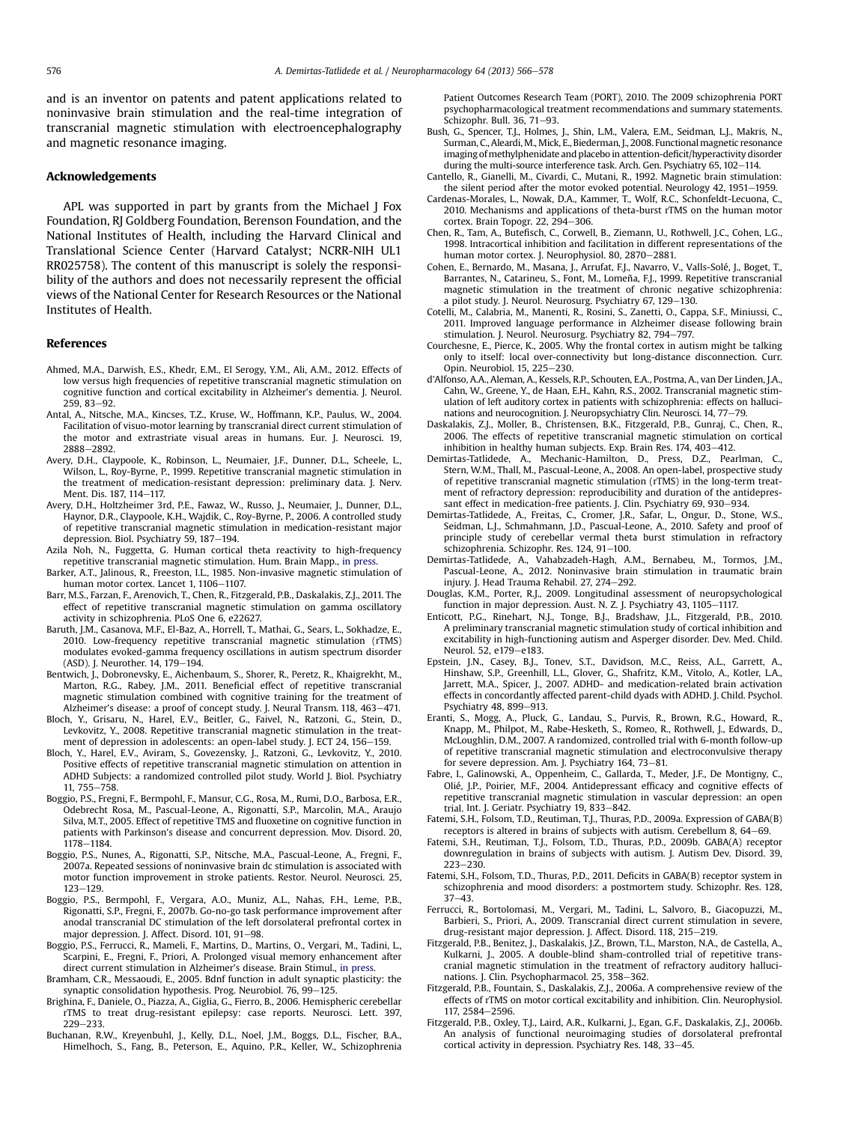<span id="page-10-0"></span>and is an inventor on patents and patent applications related to noninvasive brain stimulation and the real-time integration of transcranial magnetic stimulation with electroencephalography and magnetic resonance imaging.

#### Acknowledgements

APL was supported in part by grants from the Michael I Fox Foundation, RJ Goldberg Foundation, Berenson Foundation, and the National Institutes of Health, including the Harvard Clinical and Translational Science Center (Harvard Catalyst; NCRR-NIH UL1 RR025758). The content of this manuscript is solely the responsibility of the authors and does not necessarily represent the official views of the National Center for Research Resources or the National Institutes of Health.

#### References

- Ahmed, M.A., Darwish, E.S., Khedr, E.M., El Serogy, Y.M., Ali, A.M., 2012. Effects of low versus high frequencies of repetitive transcranial magnetic stimulation on cognitive function and cortical excitability in Alzheimer's dementia. J. Neurol. 259, 83e92.
- Antal, A., Nitsche, M.A., Kincses, T.Z., Kruse, W., Hoffmann, K.P., Paulus, W., 2004. Facilitation of visuo-motor learning by transcranial direct current stimulation of the motor and extrastriate visual areas in humans. Eur. J. Neurosci. 19, 2888e2892.
- Avery, D.H., Claypoole, K., Robinson, L., Neumaier, J.F., Dunner, D.L., Scheele, L., Wilson, L., Roy-Byrne, P., 1999. Repetitive transcranial magnetic stimulation in the treatment of medication-resistant depression: preliminary data. J. Nerv. Ment. Dis. 187, 114-117.
- Avery, D.H., Holtzheimer 3rd, P.E., Fawaz, W., Russo, J., Neumaier, J., Dunner, D.L., Haynor, D.R., Claypoole, K.H., Wajdik, C., Roy-Byrne, P., 2006. A controlled study of repetitive transcranial magnetic stimulation in medication-resistant major depression. Biol. Psychiatry 59,  $187-194$ .
- Azila Noh, N., Fuggetta, G. Human cortical theta reactivity to high-frequency repetitive transcranial magnetic stimulation. Hum. Brain Mapp., [in press.](http://dx.doi.org/10.1002/hbm.21355)
- Barker, A.T., Jalinous, R., Freeston, I.L., 1985. Non-invasive magnetic stimulation of human motor cortex. Lancet 1, 1106-1107.
- Barr, M.S., Farzan, F., Arenovich, T., Chen, R., Fitzgerald, P.B., Daskalakis, Z.J., 2011. The effect of repetitive transcranial magnetic stimulation on gamma oscillatory activity in schizophrenia. PLoS One 6, e22627.
- Baruth, J.M., Casanova, M.F., El-Baz, A., Horrell, T., Mathai, G., Sears, L., Sokhadze, E., 2010. Low-frequency repetitive transcranial magnetic stimulation (rTMS) modulates evoked-gamma frequency oscillations in autism spectrum disorder (ASD). I. Neurother. 14, 179-194.
- Bentwich, J., Dobronevsky, E., Aichenbaum, S., Shorer, R., Peretz, R., Khaigrekht, M., Marton, R.G., Rabey, J.M., 2011. Beneficial effect of repetitive transcranial magnetic stimulation combined with cognitive training for the treatment of Alzheimer's disease: a proof of concept study. J. Neural Transm. 118, 463-471.
- Bloch, Y., Grisaru, N., Harel, E.V., Beitler, G., Faivel, N., Ratzoni, G., Stein, D., Levkovitz, Y., 2008. Repetitive transcranial magnetic stimulation in the treatment of depression in adolescents: an open-label study. J. ECT 24, 156-159.
- Bloch, Y., Harel, E.V., Aviram, S., Govezensky, J., Ratzoni, G., Levkovitz, Y., 2010. Positive effects of repetitive transcranial magnetic stimulation on attention in ADHD Subjects: a randomized controlled pilot study. World J. Biol. Psychiatry 11, 755-758.
- Boggio, P.S., Fregni, F., Bermpohl, F., Mansur, C.G., Rosa, M., Rumi, D.O., Barbosa, E.R., Odebrecht Rosa, M., Pascual-Leone, A., Rigonatti, S.P., Marcolin, M.A., Araujo Silva, M.T., 2005. Effect of repetitive TMS and fluoxetine on cognitive function in patients with Parkinson's disease and concurrent depression. Mov. Disord. 20, 1178-1184
- Boggio, P.S., Nunes, A., Rigonatti, S.P., Nitsche, M.A., Pascual-Leone, A., Fregni, F., 2007a. Repeated sessions of noninvasive brain dc stimulation is associated with motor function improvement in stroke patients. Restor. Neurol. Neurosci. 25, 123-129.
- Boggio, P.S., Bermpohl, F., Vergara, A.O., Muniz, A.L., Nahas, F.H., Leme, P.B., Rigonatti, S.P., Fregni, F., 2007b. Go-no-go task performance improvement after anodal transcranial DC stimulation of the left dorsolateral prefrontal cortex in major depression. J. Affect. Disord. 101, 91-98.
- Boggio, P.S., Ferrucci, R., Mameli, F., Martins, D., Martins, O., Vergari, M., Tadini, L., Scarpini, E., Fregni, F., Priori, A. Prolonged visual memory enhancement after direct current stimulation in Alzheimer's disease. Brain Stimul., [in press](http://dx.doi.org/10.1016/j.brs.2011.06.006).
- Bramham, C.R., Messaoudi, E., 2005. Bdnf function in adult synaptic plasticity: the synaptic consolidation hypothesis. Prog. Neurobiol. 76, 99-125.
- Brighina, F., Daniele, O., Piazza, A., Giglia, G., Fierro, B., 2006. Hemispheric cerebellar rTMS to treat drug-resistant epilepsy: case reports. Neurosci. Lett. 397, 229-233
- Buchanan, R.W., Kreyenbuhl, J., Kelly, D.L., Noel, J.M., Boggs, D.L., Fischer, B.A., Himelhoch, S., Fang, B., Peterson, E., Aquino, P.R., Keller, W., Schizophrenia

Patient Outcomes Research Team (PORT), 2010. The 2009 schizophrenia PORT psychopharmacological treatment recommendations and summary statements. Schizophr. Bull. 36, 71-93.

- Bush, G., Spencer, T.J., Holmes, J., Shin, L.M., Valera, E.M., Seidman, L.J., Makris, N., Surman, C., Aleardi, M., Mick, E., Biederman, J., 2008. Functionalmagnetic resonance imaging ofmethylphenidate and placebo in attention-deficit/hyperactivity disorder during the multi-source interference task. Arch. Gen. Psychiatry  $65.102 - 114$ .
- Cantello, R., Gianelli, M., Civardi, C., Mutani, R., 1992. Magnetic brain stimulation: the silent period after the motor evoked potential. Neurology  $42.1951-1959$ .
- Cardenas-Morales, L., Nowak, D.A., Kammer, T., Wolf, R.C., Schonfeldt-Lecuona, C., 2010. Mechanisms and applications of theta-burst rTMS on the human motor  $cortex$ . Brain Topogr. 22,  $294-306$ .
- Chen, R., Tam, A., Butefisch, C., Corwell, B., Ziemann, U., Rothwell, J.C., Cohen, L.G., 1998. Intracortical inhibition and facilitation in different representations of the human motor cortex. J. Neurophysiol. 80, 2870-2881.
- Cohen, E., Bernardo, M., Masana, J., Arrufat, F.J., Navarro, V., Valls-Solé, J., Boget, T., Barrantes, N., Catarineu, S., Font, M., Lomeña, F.J., 1999. Repetitive transcranial magnetic stimulation in the treatment of chronic negative schizophrenia:
- a pilot study. J. Neurol. Neurosurg. Psychiatry 67, 129–130.<br>Cotelli, M., Calabria, M., Manenti, R., Rosini, S., Zanetti, O., Cappa, S.F., Miniussi, C., 2011. Improved language performance in Alzheimer disease following brain stimulation. J. Neurol. Neurosurg. Psychiatry 82, 794-797.
- Courchesne, E., Pierce, K., 2005. Why the frontal cortex in autism might be talking only to itself: local over-connectivity but long-distance disconnection. Curr. Opin. Neurobiol. 15, 225-230.
- d'Alfonso, A.A., Aleman, A., Kessels, R.P., Schouten, E.A., Postma, A., van Der Linden, J.A., Cahn, W., Greene, Y., de Haan, E.H., Kahn, R.S., 2002. Transcranial magnetic stimulation of left auditory cortex in patients with schizophrenia: effects on hallucinations and neurocognition. J. Neuropsychiatry Clin. Neurosci. 14, 77-79.
- Daskalakis, Z.J., Moller, B., Christensen, B.K., Fitzgerald, P.B., Gunraj, C., Chen, R., 2006. The effects of repetitive transcranial magnetic stimulation on cortical inhibition in healthy human subjects. Exp. Brain Res. 174, 403-412.
- Demirtas-Tatlidede, A., Mechanic-Hamilton, D., Press, D.Z., Pearlman, C., Stern, W.M., Thall, M., Pascual-Leone, A., 2008. An open-label, prospective study of repetitive transcranial magnetic stimulation (rTMS) in the long-term treatment of refractory depression: reproducibility and duration of the antidepressant effect in medication-free patients. J. Clin. Psychiatry 69, 930-934.
- Demirtas-Tatlidede, A., Freitas, C., Cromer, J.R., Safar, L., Ongur, D., Stone, W.S., Seidman, L.J., Schmahmann, J.D., Pascual-Leone, A., 2010. Safety and proof of principle study of cerebellar vermal theta burst stimulation in refractory schizophrenia. Schizophr. Res. 124, 91-100.
- Demirtas-Tatlidede, A., Vahabzadeh-Hagh, A.M., Bernabeu, M., Tormos, J.M., Pascual-Leone, A., 2012. Noninvasive brain stimulation in traumatic brain injury. J. Head Trauma Rehabil. 27, 274-292.
- Douglas, K.M., Porter, R.J., 2009. Longitudinal assessment of neuropsychological function in major depression. Aust. N. Z. J. Psychiatry 43, 1105-1117.
- Enticott, P.G., Rinehart, N.J., Tonge, B.J., Bradshaw, J.L., Fitzgerald, P.B., 2010. A preliminary transcranial magnetic stimulation study of cortical inhibition and excitability in high-functioning autism and Asperger disorder. Dev. Med. Child. Neurol. 52, e179-e183.
- Epstein, J.N., Casey, B.J., Tonev, S.T., Davidson, M.C., Reiss, A.L., Garrett, A., Hinshaw, S.P., Greenhill, L.L., Glover, G., Shafritz, K.M., Vitolo, A., Kotler, L.A., Jarrett, M.A., Spicer, J., 2007. ADHD- and medication-related brain activation effects in concordantly affected parent-child dyads with ADHD. J. Child. Psychol. Psychiatry 48, 899-913.
- Eranti, S., Mogg, A., Pluck, G., Landau, S., Purvis, R., Brown, R.G., Howard, R., Knapp, M., Philpot, M., Rabe-Hesketh, S., Romeo, R., Rothwell, J., Edwards, D., McLoughlin, D.M., 2007. A randomized, controlled trial with 6-month follow-up of repetitive transcranial magnetic stimulation and electroconvulsive therapy for severe depression. Am. J. Psychiatry 164, 73-81.
- Fabre, I., Galinowski, A., Oppenheim, C., Gallarda, T., Meder, J.F., De Montigny, C., Olié, J.P., Poirier, M.F., 2004. Antidepressant efficacy and cognitive effects of repetitive transcranial magnetic stimulation in vascular depression: an open trial. Int. J. Geriatr. Psychiatry 19, 833-842.
- Fatemi, S.H., Folsom, T.D., Reutiman, T.J., Thuras, P.D., 2009a. Expression of GABA(B) receptors is altered in brains of subjects with autism. Cerebellum 8, 64-69.
- Fatemi, S.H., Reutiman, T.J., Folsom, T.D., Thuras, P.D., 2009b. GABA(A) receptor downregulation in brains of subjects with autism. J. Autism Dev. Disord. 39,  $223 - 230$
- Fatemi, S.H., Folsom, T.D., Thuras, P.D., 2011. Deficits in GABA(B) receptor system in schizophrenia and mood disorders: a postmortem study. Schizophr. Res. 128,  $37 - 43.$
- Ferrucci, R., Bortolomasi, M., Vergari, M., Tadini, L., Salvoro, B., Giacopuzzi, M., Barbieri, S., Priori, A., 2009. Transcranial direct current stimulation in severe, drug-resistant major depression. J. Affect. Disord. 118, 215-219.
- Fitzgerald, P.B., Benitez, J., Daskalakis, J.Z., Brown, T.L., Marston, N.A., de Castella, A., Kulkarni, J., 2005. A double-blind sham-controlled trial of repetitive transcranial magnetic stimulation in the treatment of refractory auditory hallucinations. J. Clin. Psychopharmacol. 25, 358-362.
- Fitzgerald, P.B., Fountain, S., Daskalakis, Z.J., 2006a. A comprehensive review of the effects of rTMS on motor cortical excitability and inhibition. Clin. Neurophysiol. 117, 2584-2596.
- Fitzgerald, P.B., Oxley, T.J., Laird, A.R., Kulkarni, J., Egan, G.F., Daskalakis, Z.J., 2006b. An analysis of functional neuroimaging studies of dorsolateral prefrontal cortical activity in depression. Psychiatry Res. 148, 33–45.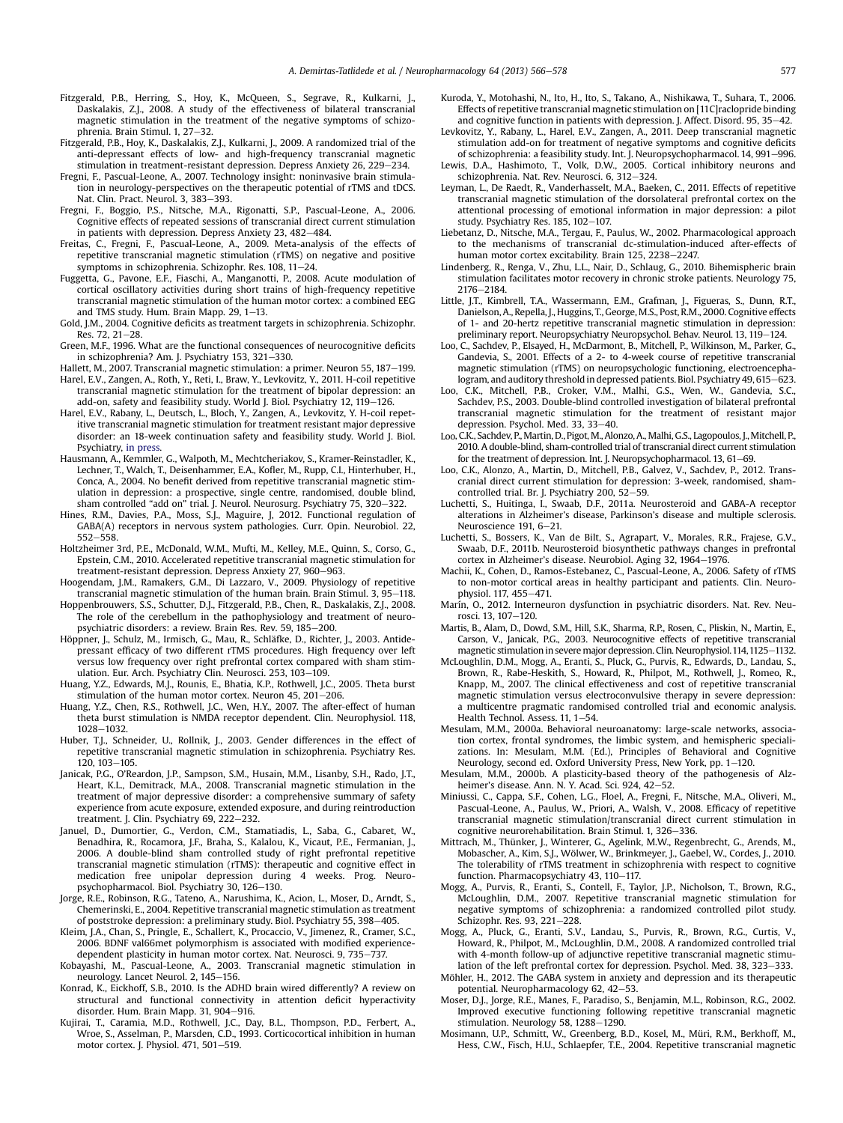- <span id="page-11-0"></span>Fitzgerald, P.B., Herring, S., Hoy, K., McQueen, S., Segrave, R., Kulkarni, J., Daskalakis, Z.J., 2008. A study of the effectiveness of bilateral transcranial magnetic stimulation in the treatment of the negative symptoms of schizophrenia. Brain Stimul. 1, 27-32.
- Fitzgerald, P.B., Hoy, K., Daskalakis, Z.J., Kulkarni, J., 2009. A randomized trial of the anti-depressant effects of low- and high-frequency transcranial magnetic stimulation in treatment-resistant depression. Depress Anxiety 26, 229–234.
- Fregni, F., Pascual-Leone, A., 2007. Technology insight: noninvasive brain stimulation in neurology-perspectives on the therapeutic potential of rTMS and tDCS. Nat. Clin. Pract. Neurol. 3, 383-393.
- Fregni, F., Boggio, P.S., Nitsche, M.A., Rigonatti, S.P., Pascual-Leone, A., 2006. Cognitive effects of repeated sessions of transcranial direct current stimulation in patients with depression. Depress Anxiety 23, 482-484.
- Freitas, C., Fregni, F., Pascual-Leone, A., 2009. Meta-analysis of the effects of repetitive transcranial magnetic stimulation (rTMS) on negative and positive symptoms in schizophrenia. Schizophr. Res.  $108, 11-24$ .
- Fuggetta, G., Pavone, E.F., Fiaschi, A., Manganotti, P., 2008. Acute modulation of cortical oscillatory activities during short trains of high-frequency repetitive transcranial magnetic stimulation of the human motor cortex: a combined EEG and TMS study. Hum. Brain Mapp.  $29.1 - 13$ .
- Gold, J.M., 2004. Cognitive deficits as treatment targets in schizophrenia. Schizophr. Res. 72, 21-28.
- Green, M.F., 1996. What are the functional consequences of neurocognitive deficits in schizophrenia? Am. J. Psychiatry 153, 321-330.
- Hallett, M., 2007. Transcranial magnetic stimulation: a primer. Neuron 55, 187-199. Harel, E.V., Zangen, A., Roth, Y., Reti, I., Braw, Y., Levkovitz, Y., 2011. H-coil repetitive transcranial magnetic stimulation for the treatment of bipolar depression: an add-on, safety and feasibility study. World J. Biol. Psychiatry 12, 119-126.
- Harel, E.V., Rabany, L., Deutsch, L., Bloch, Y., Zangen, A., Levkovitz, Y. H-coil repetitive transcranial magnetic stimulation for treatment resistant major depressive disorder: an 18-week continuation safety and feasibility study. World J. Biol. Psychiatry, [in press.](http://dx.doi.org/10.3109/15622975.2011.639802)
- Hausmann, A., Kemmler, G., Walpoth, M., Mechtcheriakov, S., Kramer-Reinstadler, K., Lechner, T., Walch, T., Deisenhammer, E.A., Kofler, M., Rupp, C.I., Hinterhuber, H., Conca, A., 2004. No benefit derived from repetitive transcranial magnetic stimulation in depression: a prospective, single centre, randomised, double blind, sham controlled "add on" trial. J. Neurol. Neurosurg. Psychiatry 75, 320-322.
- Hines, R.M., Davies, P.A., Moss, S.J., Maguire, J, 2012. Functional regulation of GABA(A) receptors in nervous system pathologies. Curr. Opin. Neurobiol. 22, 552-558.
- Holtzheimer 3rd, P.E., McDonald, W.M., Mufti, M., Kelley, M.E., Quinn, S., Corso, G., Epstein, C.M., 2010. Accelerated repetitive transcranial magnetic stimulation for treatment-resistant depression. Depress Anxiety 27, 960-963.
- Hoogendam, J.M., Ramakers, G.M., Di Lazzaro, V., 2009. Physiology of repetitive transcranial magnetic stimulation of the human brain. Brain Stimul. 3, 95-118.
- Hoppenbrouwers, S.S., Schutter, D.J., Fitzgerald, P.B., Chen, R., Daskalakis, Z.J., 2008. The role of the cerebellum in the pathophysiology and treatment of neuropsychiatric disorders: a review. Brain Res. Rev. 59, 185-200.
- Höppner, J., Schulz, M., Irmisch, G., Mau, R., Schläfke, D., Richter, J., 2003. Antidepressant efficacy of two different rTMS procedures. High frequency over left versus low frequency over right prefrontal cortex compared with sham stimulation. Eur. Arch. Psychiatry Clin. Neurosci. 253, 103-109.
- Huang, Y.Z., Edwards, M.J., Rounis, E., Bhatia, K.P., Rothwell, J.C., 2005. Theta burst stimulation of the human motor cortex. Neuron 45, 201-206.
- Huang, Y.Z., Chen, R.S., Rothwell, J.C., Wen, H.Y., 2007. The after-effect of human theta burst stimulation is NMDA receptor dependent. Clin. Neurophysiol. 118, 1028-1032.
- Huber, T.J., Schneider, U., Rollnik, J., 2003. Gender differences in the effect of repetitive transcranial magnetic stimulation in schizophrenia. Psychiatry Res. 120, 103-105.
- Janicak, P.G., O'Reardon, J.P., Sampson, S.M., Husain, M.M., Lisanby, S.H., Rado, J.T., Heart, K.L., Demitrack, M.A., 2008. Transcranial magnetic stimulation in the treatment of major depressive disorder: a comprehensive summary of safety experience from acute exposure, extended exposure, and during reintroduction treatment. J. Clin. Psychiatry 69, 222-232.
- Januel, D., Dumortier, G., Verdon, C.M., Stamatiadis, L., Saba, G., Cabaret, W., Benadhira, R., Rocamora, J.F., Braha, S., Kalalou, K., Vicaut, P.E., Fermanian, J., 2006. A double-blind sham controlled study of right prefrontal repetitive transcranial magnetic stimulation (rTMS): therapeutic and cognitive effect in medication free unipolar depression during 4 weeks. Prog. Neuropsychopharmacol. Biol. Psychiatry 30, 126-130.
- Jorge, R.E., Robinson, R.G., Tateno, A., Narushima, K., Acion, L., Moser, D., Arndt, S., Chemerinski, E., 2004. Repetitive transcranial magnetic stimulation as treatment of poststroke depression: a preliminary study. Biol. Psychiatry 55, 398-405.
- Kleim, J.A., Chan, S., Pringle, E., Schallert, K., Procaccio, V., Jimenez, R., Cramer, S.C., 2006. BDNF val66met polymorphism is associated with modified experiencedependent plasticity in human motor cortex. Nat. Neurosci. 9, 735-737.
- Kobayashi, M., Pascual-Leone, A., 2003. Transcranial magnetic stimulation in neurology. Lancet Neurol. 2, 145-156.
- Konrad, K., Eickhoff, S.B., 2010. Is the ADHD brain wired differently? A review on structural and functional connectivity in attention deficit hyperactivity disorder. Hum. Brain Mapp. 31, 904-916.
- Kujirai, T., Caramia, M.D., Rothwell, J.C., Day, B.L., Thompson, P.D., Ferbert, A., Wroe, S., Asselman, P., Marsden, C.D., 1993. Corticocortical inhibition in human motor cortex. J. Physiol.  $471, 501-519$ .
- Kuroda, Y., Motohashi, N., Ito, H., Ito, S., Takano, A., Nishikawa, T., Suhara, T., 2006. Effects of repetitive transcranial magnetic stimulation on [11C]raclopride binding and cognitive function in patients with depression. I. Affect. Disord.  $95, 35-42$ .
- Levkovitz, Y., Rabany, L., Harel, E.V., Zangen, A., 2011. Deep transcranial magnetic stimulation add-on for treatment of negative symptoms and cognitive deficits of schizophrenia: a feasibility study. Int. J. Neuropsychopharmacol. 14, 991-996.
- Lewis, D.A., Hashimoto, T., Volk, D.W., 2005. Cortical inhibitory neurons and schizophrenia. Nat. Rev. Neurosci. 6, 312–324.
- Leyman, L., De Raedt, R., Vanderhasselt, M.A., Baeken, C., 2011. Effects of repetitive transcranial magnetic stimulation of the dorsolateral prefrontal cortex on the attentional processing of emotional information in major depression: a pilot study. Psychiatry Res. 185, 102-107.
- Liebetanz, D., Nitsche, M.A., Tergau, F., Paulus, W., 2002. Pharmacological approach to the mechanisms of transcranial dc-stimulation-induced after-effects of human motor cortex excitability. Brain 125, 2238-2247.
- Lindenberg, R., Renga, V., Zhu, L.L., Nair, D., Schlaug, G., 2010. Bihemispheric brain stimulation facilitates motor recovery in chronic stroke patients. Neurology 75, 2176-2184.
- Little, J.T., Kimbrell, T.A., Wassermann, E.M., Grafman, J., Figueras, S., Dunn, R.T., Danielson, A., Repella, J., Huggins, T., George,M.S., Post, R.M., 2000. Cognitive effects of 1- and 20-hertz repetitive transcranial magnetic stimulation in depression: preliminary report. Neuropsychiatry Neuropsychol. Behav. Neurol. 13, 119-124.
- Loo, C., Sachdev, P., Elsayed, H., McDarmont, B., Mitchell, P., Wilkinson, M., Parker, G., Gandevia, S., 2001. Effects of a 2- to 4-week course of repetitive transcranial magnetic stimulation (rTMS) on neuropsychologic functioning, electroencephalogram, and auditory threshold in depressed patients. Biol. Psychiatry 49, 615–623.
- Loo, C.K., Mitchell, P.B., Croker, V.M., Malhi, G.S., Wen, W., Gandevia, S.C., Sachdev, P.S., 2003. Double-blind controlled investigation of bilateral prefrontal transcranial magnetic stimulation for the treatment of resistant major depression. Psychol. Med. 33, 33-40.
- Loo, C.K., Sachdev, P., Martin, D., Pigot, M., Alonzo, A., Malhi, G.S., Lagopoulos, J., Mitchell, P., 2010. A double-blind, sham-controlled trial of transcranial direct current stimulation for the treatment of depression. Int. J. Neuropsychopharmacol. 13, 61-69.
- Loo, C.K., Alonzo, A., Martin, D., Mitchell, P.B., Galvez, V., Sachdev, P., 2012. Transcranial direct current stimulation for depression: 3-week, randomised, shamcontrolled trial. Br. J. Psychiatry 200, 52-59.
- Luchetti, S., Huitinga, I., Swaab, D.F., 2011a. Neurosteroid and GABA-A receptor alterations in Alzheimer's disease, Parkinson's disease and multiple sclerosis. Neuroscience 191, 6-21.
- Luchetti, S., Bossers, K., Van de Bilt, S., Agrapart, V., Morales, R.R., Frajese, G.V., Swaab, D.F., 2011b. Neurosteroid biosynthetic pathways changes in prefrontal cortex in Alzheimer's disease. Neurobiol. Aging 32, 1964-1976.
- Machii, K., Cohen, D., Ramos-Estebanez, C., Pascual-Leone, A., 2006. Safety of rTMS to non-motor cortical areas in healthy participant and patients. Clin. Neurophysiol. 117, 455-471.
- Marín, O., 2012. Interneuron dysfunction in psychiatric disorders. Nat. Rev. Neurosci. 13, 107-120.
- Martis, B., Alam, D., Dowd, S.M., Hill, S.K., Sharma, R.P., Rosen, C., Pliskin, N., Martin, E., Carson, V., Janicak, P.G., 2003. Neurocognitive effects of repetitive transcranial magnetic stimulation in severe major depression. Clin. Neurophysiol. 114, 1125-1132.
- McLoughlin, D.M., Mogg, A., Eranti, S., Pluck, G., Purvis, R., Edwards, D., Landau, S., Brown, R., Rabe-Heskith, S., Howard, R., Philpot, M., Rothwell, J., Romeo, R., Knapp, M., 2007. The clinical effectiveness and cost of repetitive transcranial magnetic stimulation versus electroconvulsive therapy in severe depression: a multicentre pragmatic randomised controlled trial and economic analysis. Health Technol. Assess. 11, 1-54.
- Mesulam, M.M., 2000a. Behavioral neuroanatomy: large-scale networks, association cortex, frontal syndromes, the limbic system, and hemispheric specializations. In: Mesulam, M.M. (Ed.), Principles of Behavioral and Cognitive Neurology, second ed. Oxford University Press, New York, pp. 1-120.
- Mesulam, M.M., 2000b. A plasticity-based theory of the pathogenesis of Alzheimer's disease. Ann. N. Y. Acad. Sci. 924, 42-52.
- Miniussi, C., Cappa, S.F., Cohen, L.G., Floel, A., Fregni, F., Nitsche, M.A., Oliveri, M., Pascual-Leone, A., Paulus, W., Priori, A., Walsh, V., 2008. Efficacy of repetitive transcranial magnetic stimulation/transcranial direct current stimulation in cognitive neurorehabilitation. Brain Stimul. 1, 326-336.
- Mittrach, M., Thünker, J., Winterer, G., Agelink, M.W., Regenbrecht, G., Arends, M., Mobascher, A., Kim, S.J., Wölwer, W., Brinkmeyer, J., Gaebel, W., Cordes, J., 2010. The tolerability of rTMS treatment in schizophrenia with respect to cognitive function. Pharmacopsychiatry 43, 110-117.
- Mogg, A., Purvis, R., Eranti, S., Contell, F., Taylor, J.P., Nicholson, T., Brown, R.G., McLoughlin, D.M., 2007. Repetitive transcranial magnetic stimulation for negative symptoms of schizophrenia: a randomized controlled pilot study. Schizophr. Res. 93, 221-228.
- Mogg, A., Pluck, G., Eranti, S.V., Landau, S., Purvis, R., Brown, R.G., Curtis, V., Howard, R., Philpot, M., McLoughlin, D.M., 2008. A randomized controlled trial with 4-month follow-up of adjunctive repetitive transcranial magnetic stimulation of the left prefrontal cortex for depression. Psychol. Med. 38, 323-333.
- Möhler, H., 2012. The GABA system in anxiety and depression and its therapeutic potential. Neuropharmacology 62, 42–53.
- Moser, D.J., Jorge, R.E., Manes, F., Paradiso, S., Benjamin, M.L., Robinson, R.G., 2002. Improved executive functioning following repetitive transcranial magnetic stimulation. Neurology 58, 1288-1290.
- Mosimann, U.P., Schmitt, W., Greenberg, B.D., Kosel, M., Müri, R.M., Berkhoff, M., Hess, C.W., Fisch, H.U., Schlaepfer, T.E., 2004. Repetitive transcranial magnetic